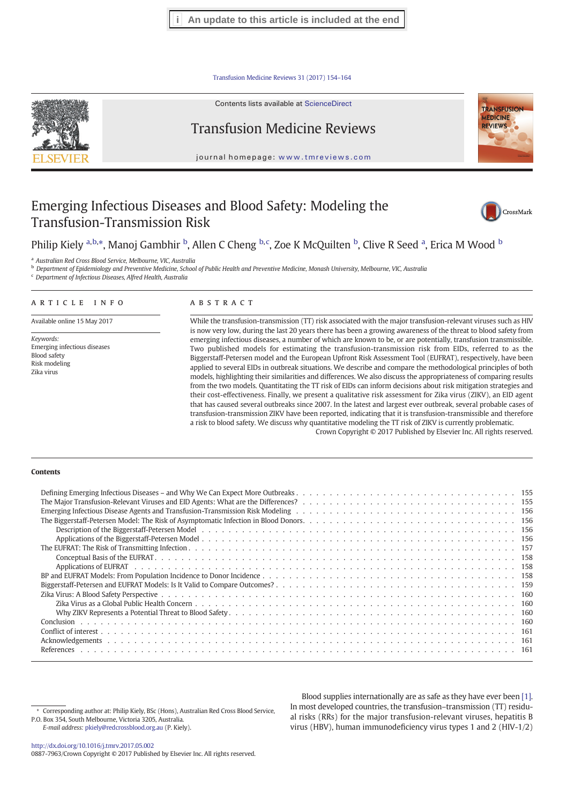**i [An update to this article is included at the end](#page-11-0)**

[Transfusion Medicine Reviews 31 \(2017\) 154](http://dx.doi.org/10.1016/j.tmrv.2017.05.002)–164



# Emerging Infectious Diseases and Blood Safety: Modeling the Transfusion-Transmission Risk



Philip Kiely <sup>a,b,\*</sup>, Manoj Gambhir <sup>b</sup>, Allen C Cheng <sup>b,c</sup>, Zoe K McQuilten <sup>b</sup>, Clive R Seed <sup>a</sup>, Erica M Wood <sup>b</sup>

<sup>a</sup> Australian Red Cross Blood Service, Melbourne, VIC, Australia

**b** Department of Epidemiology and Preventive Medicine, School of Public Health and Preventive Medicine, Monash University, Melbourne, VIC, Australia

 $c$  Department of Infectious Diseases, Alfred Health, Australia

#### article info abstract

Available online 15 May 2017

Keywords: Emerging infectious diseases Blood safety Risk modeling Zika virus

While the transfusion-transmission (TT) risk associated with the major transfusion-relevant viruses such as HIV is now very low, during the last 20 years there has been a growing awareness of the threat to blood safety from emerging infectious diseases, a number of which are known to be, or are potentially, transfusion transmissible. Two published models for estimating the transfusion-transmission risk from EIDs, referred to as the Biggerstaff-Petersen model and the European Upfront Risk Assessment Tool (EUFRAT), respectively, have been applied to several EIDs in outbreak situations. We describe and compare the methodological principles of both models, highlighting their similarities and differences. We also discuss the appropriateness of comparing results from the two models. Quantitating the TT risk of EIDs can inform decisions about risk mitigation strategies and their cost-effectiveness. Finally, we present a qualitative risk assessment for Zika virus (ZIKV), an EID agent that has caused several outbreaks since 2007. In the latest and largest ever outbreak, several probable cases of transfusion-transmission ZIKV have been reported, indicating that it is transfusion-transmissible and therefore a risk to blood safety. We discuss why quantitative modeling the TT risk of ZIKV is currently problematic.

Crown Copyright © 2017 Published by Elsevier Inc. All rights reserved.

#### **Contents**

⁎ Corresponding author at: Philip Kiely, BSc (Hons), Australian Red Cross Blood Service, P.O. Box 354, South Melbourne, Victoria 3205, Australia.

E-mail address: [pkiely@redcrossblood.org.au](mailto:pkiely@redcrossblood.org.au) (P. Kiely).

<http://dx.doi.org/10.1016/j.tmrv.2017.05.002> 0887-7963/Crown Copyright © 2017 Published by Elsevier Inc. All rights reserved.

Blood supplies internationally are as safe as they have ever been [\[1\].](#page-7-0) In most developed countries, the transfusion–transmission (TT) residual risks (RRs) for the major transfusion-relevant viruses, hepatitis B virus (HBV), human immunodeficiency virus types 1 and 2 (HIV-1/2)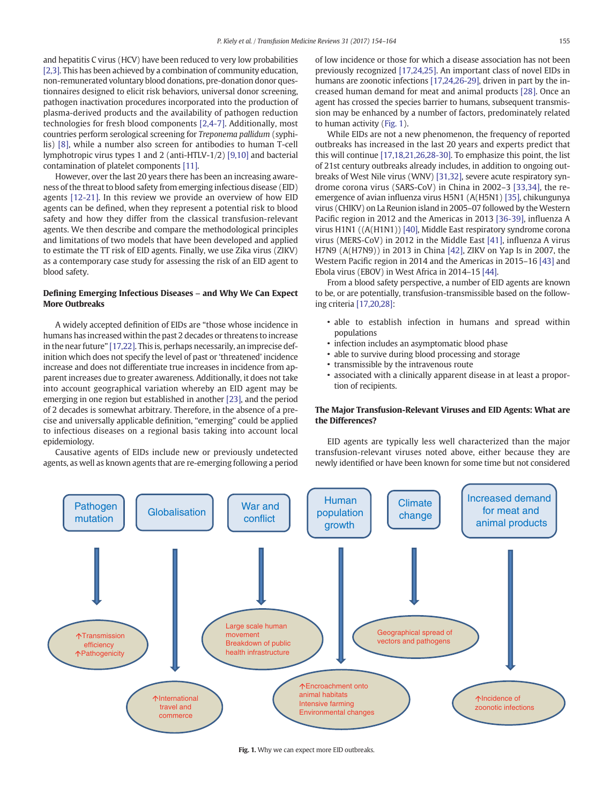and hepatitis C virus (HCV) have been reduced to very low probabilities [\[2,3\].](#page-7-0) This has been achieved by a combination of community education, non-remunerated voluntary blood donations, pre-donation donor questionnaires designed to elicit risk behaviors, universal donor screening, pathogen inactivation procedures incorporated into the production of plasma-derived products and the availability of pathogen reduction technologies for fresh blood components [\[2,4-7\]](#page-7-0). Additionally, most countries perform serological screening for Treponema pallidum (syphilis) [\[8\],](#page-7-0) while a number also screen for antibodies to human T-cell lymphotropic virus types 1 and 2 (anti-HTLV-1/2) [\[9,10\]](#page-7-0) and bacterial contamination of platelet components [\[11\]](#page-7-0).

However, over the last 20 years there has been an increasing awareness of the threat to blood safety from emerging infectious disease (EID) agents [\[12-21\]](#page-7-0). In this review we provide an overview of how EID agents can be defined, when they represent a potential risk to blood safety and how they differ from the classical transfusion-relevant agents. We then describe and compare the methodological principles and limitations of two models that have been developed and applied to estimate the TT risk of EID agents. Finally, we use Zika virus (ZIKV) as a contemporary case study for assessing the risk of an EID agent to blood safety.

#### Defining Emerging Infectious Diseases – and Why We Can Expect More Outbreaks

A widely accepted definition of EIDs are "those whose incidence in humans has increased within the past 2 decades or threatens to increase in the near future" [\[17,22\].](#page-7-0) This is, perhaps necessarily, an imprecise definition which does not specify the level of past or 'threatened' incidence increase and does not differentiate true increases in incidence from apparent increases due to greater awareness. Additionally, it does not take into account geographical variation whereby an EID agent may be emerging in one region but established in another [\[23\]](#page-7-0), and the period of 2 decades is somewhat arbitrary. Therefore, in the absence of a precise and universally applicable definition, "emerging" could be applied to infectious diseases on a regional basis taking into account local epidemiology.

Causative agents of EIDs include new or previously undetected agents, as well as known agents that are re-emerging following a period of low incidence or those for which a disease association has not been previously recognized [\[17,24,25\].](#page-7-0) An important class of novel EIDs in humans are zoonotic infections [\[17,24,26-29\],](#page-7-0) driven in part by the increased human demand for meat and animal products [\[28\].](#page-7-0) Once an agent has crossed the species barrier to humans, subsequent transmission may be enhanced by a number of factors, predominately related to human activity (Fig. 1).

While EIDs are not a new phenomenon, the frequency of reported outbreaks has increased in the last 20 years and experts predict that this will continue [\[17,18,21,26,28-30\]](#page-7-0). To emphasize this point, the list of 21st century outbreaks already includes, in addition to ongoing outbreaks of West Nile virus (WNV) [\[31,32\],](#page-7-0) severe acute respiratory syndrome corona virus (SARS-CoV) in China in 2002–3 [\[33,34\],](#page-7-0) the reemergence of avian influenza virus H5N1 (A(H5N1) [\[35\],](#page-7-0) chikungunya virus (CHIKV) on La Reunion island in 2005–07 followed by the Western Pacific region in 2012 and the Americas in 2013 [\[36-39\],](#page-7-0) influenza A virus H1N1 ((A(H1N1)) [\[40\]](#page-7-0), Middle East respiratory syndrome corona virus (MERS-CoV) in 2012 in the Middle East [\[41\],](#page-7-0) influenza A virus H7N9 (A(H7N9)) in 2013 in China [\[42\],](#page-7-0) ZIKV on Yap Is in 2007, the Western Pacific region in 2014 and the Americas in 2015–16 [\[43\]](#page-7-0) and Ebola virus (EBOV) in West Africa in 2014–15 [\[44\]](#page-7-0).

From a blood safety perspective, a number of EID agents are known to be, or are potentially, transfusion-transmissible based on the following criteria [\[17,20,28\]:](#page-7-0)

- able to establish infection in humans and spread within populations
- infection includes an asymptomatic blood phase
- able to survive during blood processing and storage
- transmissible by the intravenous route
- associated with a clinically apparent disease in at least a proportion of recipients.

#### The Major Transfusion-Relevant Viruses and EID Agents: What are the Differences?

EID agents are typically less well characterized than the major transfusion-relevant viruses noted above, either because they are newly identified or have been known for some time but not considered



Fig. 1. Why we can expect more EID outbreaks.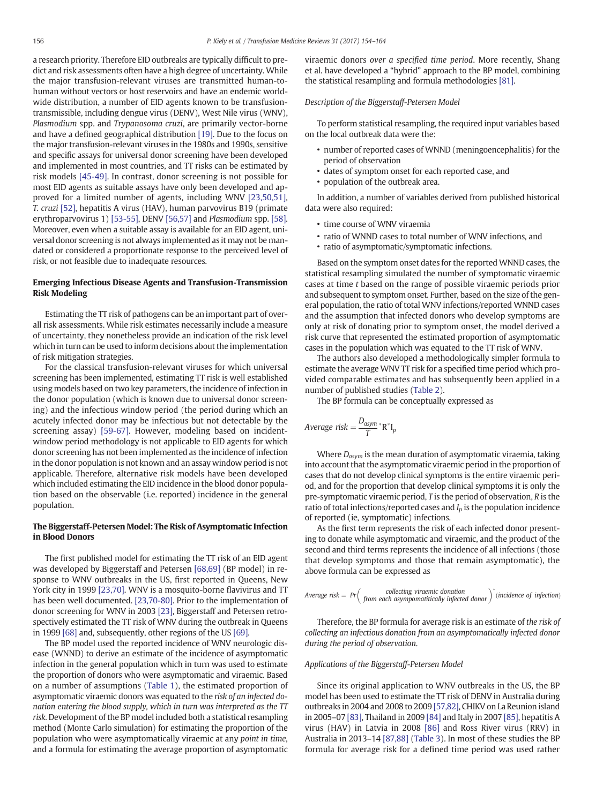a research priority. Therefore EID outbreaks are typically difficult to predict and risk assessments often have a high degree of uncertainty. While the major transfusion-relevant viruses are transmitted human-tohuman without vectors or host reservoirs and have an endemic worldwide distribution, a number of EID agents known to be transfusiontransmissible, including dengue virus (DENV), West Nile virus (WNV), Plasmodium spp. and Trypanosoma cruzi, are primarily vector-borne and have a defined geographical distribution [\[19\].](#page-7-0) Due to the focus on the major transfusion-relevant viruses in the 1980s and 1990s, sensitive and specific assays for universal donor screening have been developed and implemented in most countries, and TT risks can be estimated by risk models [\[45-49\].](#page-7-0) In contrast, donor screening is not possible for most EID agents as suitable assays have only been developed and approved for a limited number of agents, including WNV [\[23,50,51\],](#page-7-0) T. cruzi [\[52\]](#page-7-0), hepatitis A virus (HAV), human parvovirus B19 (primate erythroparvovirus 1) [\[53-55\]](#page-7-0), DENV [\[56,57\]](#page-7-0) and Plasmodium spp. [\[58\].](#page-7-0) Moreover, even when a suitable assay is available for an EID agent, universal donor screening is not always implemented as it may not be mandated or considered a proportionate response to the perceived level of risk, or not feasible due to inadequate resources.

#### Emerging Infectious Disease Agents and Transfusion-Transmission Risk Modeling

Estimating the TT risk of pathogens can be an important part of overall risk assessments. While risk estimates necessarily include a measure of uncertainty, they nonetheless provide an indication of the risk level which in turn can be used to inform decisions about the implementation of risk mitigation strategies.

For the classical transfusion-relevant viruses for which universal screening has been implemented, estimating TT risk is well established using models based on two key parameters, the incidence of infection in the donor population (which is known due to universal donor screening) and the infectious window period (the period during which an acutely infected donor may be infectious but not detectable by the screening assay) [\[59-67\].](#page-8-0) However, modeling based on incidentwindow period methodology is not applicable to EID agents for which donor screening has not been implemented as the incidence of infection in the donor population is not known and an assay window period is not applicable. Therefore, alternative risk models have been developed which included estimating the EID incidence in the blood donor population based on the observable (i.e. reported) incidence in the general population.

#### The Biggerstaff-Petersen Model: The Risk of Asymptomatic Infection in Blood Donors

The first published model for estimating the TT risk of an EID agent was developed by Biggerstaff and Petersen [\[68,69\]](#page-8-0) (BP model) in response to WNV outbreaks in the US, first reported in Queens, New York city in 1999 [\[23,70\]](#page-7-0). WNV is a mosquito-borne flavivirus and TT has been well documented. [\[23,70-80\]](#page-7-0). Prior to the implementation of donor screening for WNV in 2003 [\[23\],](#page-7-0) Biggerstaff and Petersen retrospectively estimated the TT risk of WNV during the outbreak in Queens in 1999 [\[68\]](#page-8-0) and, subsequently, other regions of the US [\[69\]](#page-8-0).

The BP model used the reported incidence of WNV neurologic disease (WNND) to derive an estimate of the incidence of asymptomatic infection in the general population which in turn was used to estimate the proportion of donors who were asymptomatic and viraemic. Based on a number of assumptions [\(Table 1](#page-3-0)), the estimated proportion of asymptomatic viraemic donors was equated to the risk of an infected donation entering the blood supply, which in turn was interpreted as the TT risk. Development of the BP model included both a statistical resampling method (Monte Carlo simulation) for estimating the proportion of the population who were asymptomatically viraemic at any point in time, and a formula for estimating the average proportion of asymptomatic viraemic donors over a specified time period. More recently, Shang et al. have developed a "hybrid" approach to the BP model, combining the statistical resampling and formula methodologies [\[81\].](#page-8-0)

#### Description of the Biggerstaff-Petersen Model

To perform statistical resampling, the required input variables based on the local outbreak data were the:

- number of reported cases of WNND (meningoencephalitis) for the period of observation
- dates of symptom onset for each reported case, and
- population of the outbreak area.

In addition, a number of variables derived from published historical data were also required:

- time course of WNV viraemia
- ratio of WNND cases to total number of WNV infections, and
- ratio of asymptomatic/symptomatic infections.

Based on the symptom onset dates for the reported WNND cases, the statistical resampling simulated the number of symptomatic viraemic cases at time t based on the range of possible viraemic periods prior and subsequent to symptom onset. Further, based on the size of the general population, the ratio of total WNV infections/reported WNND cases and the assumption that infected donors who develop symptoms are only at risk of donating prior to symptom onset, the model derived a risk curve that represented the estimated proportion of asymptomatic cases in the population which was equated to the TT risk of WNV.

The authors also developed a methodologically simpler formula to estimate the average WNV TT risk for a specified time period which provided comparable estimates and has subsequently been applied in a number of published studies [\(Table 2\)](#page-3-0).

The BP formula can be conceptually expressed as

$$
Average risk = \frac{D_{asym}}{T} {^*R}^{*}I_p
$$

Where  $D_{asym}$  is the mean duration of asymptomatic viraemia, taking into account that the asymptomatic viraemic period in the proportion of cases that do not develop clinical symptoms is the entire viraemic period, and for the proportion that develop clinical symptoms it is only the pre-symptomatic viraemic period, T is the period of observation, R is the ratio of total infections/reported cases and  $I_p$  is the population incidence of reported (ie, symptomatic) infections.

As the first term represents the risk of each infected donor presenting to donate while asymptomatic and viraemic, and the product of the second and third terms represents the incidence of all infections (those that develop symptoms and those that remain asymptomatic), the above formula can be expressed as

Average risk = 
$$
Pr\left(\begin{array}{c}\text{collecting viraemic} \text{domain} \\ \text{from each asymptontitically infected} \text{ donor}\end{array}\right)^*
$$
 (incidence of infection)

Therefore, the BP formula for average risk is an estimate of the risk of collecting an infectious donation from an asymptomatically infected donor during the period of observation.

#### Applications of the Biggerstaff-Petersen Model

Since its original application to WNV outbreaks in the US, the BP model has been used to estimate the TT risk of DENV in Australia during outbreaks in 2004 and 2008 to 2009 [\[57,82\],](#page-7-0) CHIKV on La Reunion island in 2005–07 [\[83\]](#page-8-0), Thailand in 2009 [\[84\]](#page-8-0) and Italy in 2007 [\[85\]](#page-8-0), hepatitis A virus (HAV) in Latvia in 2008 [\[86\]](#page-8-0) and Ross River virus (RRV) in Australia in 2013–14 [\[87,88\]](#page-8-0) [\(Table 3\)](#page-4-0). In most of these studies the BP formula for average risk for a defined time period was used rather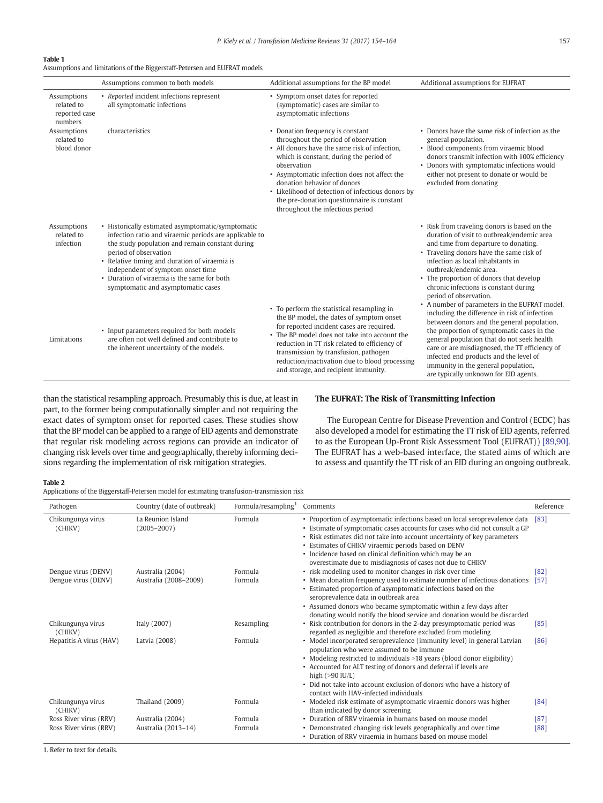#### <span id="page-3-0"></span>Table 1

Assumptions and limitations of the Biggerstaff-Petersen and EUFRAT models

|                                                       | Assumptions common to both models                                                                                                                                                                                                                                                                                                                                  | Additional assumptions for the BP model                                                                                                                                                                                                                                                                                                                                                                   | Additional assumptions for EUFRAT                                                                                                                                                                                                                                                                                                                                                                                    |
|-------------------------------------------------------|--------------------------------------------------------------------------------------------------------------------------------------------------------------------------------------------------------------------------------------------------------------------------------------------------------------------------------------------------------------------|-----------------------------------------------------------------------------------------------------------------------------------------------------------------------------------------------------------------------------------------------------------------------------------------------------------------------------------------------------------------------------------------------------------|----------------------------------------------------------------------------------------------------------------------------------------------------------------------------------------------------------------------------------------------------------------------------------------------------------------------------------------------------------------------------------------------------------------------|
| Assumptions<br>related to<br>reported case<br>numbers | • Reported incident infections represent<br>all symptomatic infections                                                                                                                                                                                                                                                                                             | • Symptom onset dates for reported<br>(symptomatic) cases are similar to<br>asymptomatic infections                                                                                                                                                                                                                                                                                                       |                                                                                                                                                                                                                                                                                                                                                                                                                      |
| Assumptions<br>related to<br>blood donor              | characteristics                                                                                                                                                                                                                                                                                                                                                    | • Donation frequency is constant<br>throughout the period of observation<br>• All donors have the same risk of infection,<br>which is constant, during the period of<br>observation<br>• Asymptomatic infection does not affect the<br>donation behavior of donors<br>• Likelihood of detection of infectious donors by<br>the pre-donation questionnaire is constant<br>throughout the infectious period | • Donors have the same risk of infection as the<br>general population.<br>• Blood components from viraemic blood<br>donors transmit infection with 100% efficiency<br>• Donors with symptomatic infections would<br>either not present to donate or would be<br>excluded from donating                                                                                                                               |
| Assumptions<br>related to<br>infection                | • Historically estimated asymptomatic/symptomatic<br>infection ratio and viraemic periods are applicable to<br>the study population and remain constant during<br>period of observation<br>• Relative timing and duration of viraemia is<br>independent of symptom onset time<br>• Duration of viraemia is the same for both<br>symptomatic and asymptomatic cases |                                                                                                                                                                                                                                                                                                                                                                                                           | • Risk from traveling donors is based on the<br>duration of visit to outbreak/endemic area<br>and time from departure to donating.<br>• Traveling donors have the same risk of<br>infection as local inhabitants in<br>outbreak/endemic area.<br>• The proportion of donors that develop<br>chronic infections is constant during<br>period of observation.                                                          |
| Limitations                                           | • Input parameters required for both models<br>are often not well defined and contribute to<br>the inherent uncertainty of the models.                                                                                                                                                                                                                             | • To perform the statistical resampling in<br>the BP model, the dates of symptom onset<br>for reported incident cases are required.<br>• The BP model does not take into account the<br>reduction in TT risk related to efficiency of<br>transmission by transfusion, pathogen<br>reduction/inactivation due to blood processing<br>and storage, and recipient immunity.                                  | • A number of parameters in the EUFRAT model,<br>including the difference in risk of infection<br>between donors and the general population,<br>the proportion of symptomatic cases in the<br>general population that do not seek health<br>care or are misdiagnosed, the TT efficiency of<br>infected end products and the level of<br>immunity in the general population,<br>are typically unknown for EID agents. |

than the statistical resampling approach. Presumably this is due, at least in part, to the former being computationally simpler and not requiring the exact dates of symptom onset for reported cases. These studies show that the BP model can be applied to a range of EID agents and demonstrate that regular risk modeling across regions can provide an indicator of changing risk levels over time and geographically, thereby informing decisions regarding the implementation of risk mitigation strategies.

#### The EUFRAT: The Risk of Transmitting Infection

The European Centre for Disease Prevention and Control (ECDC) has also developed a model for estimating the TT risk of EID agents, referred to as the European Up-Front Risk Assessment Tool (EUFRAT)) [\[89,90\].](#page-8-0) The EUFRAT has a web-based interface, the stated aims of which are to assess and quantify the TT risk of an EID during an ongoing outbreak.

#### Table 2

Applications of the Biggerstaff-Petersen model for estimating transfusion-transmission risk

| Pathogen                     | Country (date of outbreak)           | Formula/resampling <sup>1</sup> | Comments                                                                                                                                                                                                                                                                                                                                                                                                               | Reference |
|------------------------------|--------------------------------------|---------------------------------|------------------------------------------------------------------------------------------------------------------------------------------------------------------------------------------------------------------------------------------------------------------------------------------------------------------------------------------------------------------------------------------------------------------------|-----------|
| Chikungunya virus<br>(CHIKV) | La Reunion Island<br>$(2005 - 2007)$ | Formula                         | • Proportion of asymptomatic infections based on local seroprevalence data<br>• Estimate of symptomatic cases accounts for cases who did not consult a GP<br>• Risk estimates did not take into account uncertainty of key parameters<br>• Estimates of CHIKV viraemic periods based on DENV<br>• Incidence based on clinical definition which may be an<br>overestimate due to misdiagnosis of cases not due to CHIKV | [83]      |
| Dengue virus (DENV)          | Australia (2004)                     | Formula                         | • risk modeling used to monitor changes in risk over time                                                                                                                                                                                                                                                                                                                                                              | $[82]$    |
| Dengue virus (DENV)          | Australia (2008-2009)                | Formula                         | • Mean donation frequency used to estimate number of infectious donations<br>• Estimated proportion of asymptomatic infections based on the<br>seroprevalence data in outbreak area                                                                                                                                                                                                                                    | $[57]$    |
|                              |                                      |                                 | • Assumed donors who became symptomatic within a few days after<br>donating would notify the blood service and donation would be discarded                                                                                                                                                                                                                                                                             |           |
| Chikungunya virus<br>(CHIKV) | Italy (2007)                         | Resampling                      | • Risk contribution for donors in the 2-day presymptomatic period was<br>regarded as negligible and therefore excluded from modeling                                                                                                                                                                                                                                                                                   | $[85]$    |
| Hepatitis A virus (HAV)      | Latvia (2008)                        | Formula                         | • Model incorporated seroprevalence (immunity level) in general Latvian<br>population who were assumed to be immune<br>• Modeling restricted to individuals >18 years (blood donor eligibility)<br>• Accounted for ALT testing of donors and deferral if levels are<br>high $(>90$ IU/L)<br>• Did not take into account exclusion of donors who have a history of<br>contact with HAV-infected individuals             | $[86]$    |
| Chikungunya virus<br>(CHIKV) | Thailand (2009)                      | Formula                         | • Modeled risk estimate of asymptomatic viraemic donors was higher<br>than indicated by donor screening                                                                                                                                                                                                                                                                                                                | [84]      |
| Ross River virus (RRV)       | Australia (2004)                     | Formula                         | • Duration of RRV viraemia in humans based on mouse model                                                                                                                                                                                                                                                                                                                                                              | $[87]$    |
| Ross River virus (RRV)       | Australia (2013-14)                  | Formula                         | • Demonstrated changing risk levels geographically and over time<br>• Duration of RRV viraemia in humans based on mouse model                                                                                                                                                                                                                                                                                          | [88]      |

1. Refer to text for details.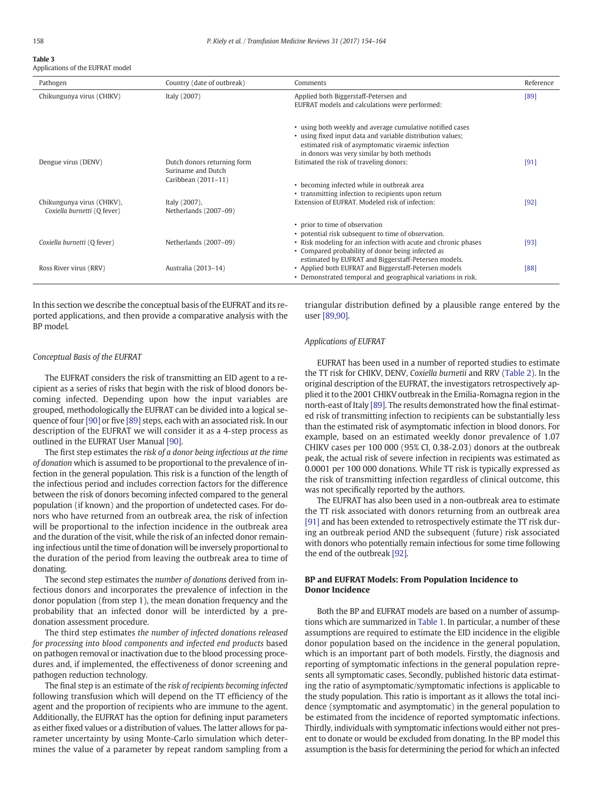#### <span id="page-4-0"></span>Table 3 Applications of the EUFRAT model

| Pathogen                                                  | Country (date of outbreak)                                               | Comments                                                                                                                                                                                                                           | Reference |
|-----------------------------------------------------------|--------------------------------------------------------------------------|------------------------------------------------------------------------------------------------------------------------------------------------------------------------------------------------------------------------------------|-----------|
| Chikungunya virus (CHIKV)                                 | Italy (2007)                                                             | Applied both Biggerstaff-Petersen and<br>EUFRAT models and calculations were performed:                                                                                                                                            | [89]      |
|                                                           |                                                                          | • using both weekly and average cumulative notified cases<br>• using fixed input data and variable distribution values;<br>estimated risk of asymptomatic viraemic infection<br>in donors was very similar by both methods         |           |
| Dengue virus (DENV)                                       | Dutch donors returning form<br>Suriname and Dutch<br>Caribbean (2011-11) | Estimated the risk of traveling donors:<br>• becoming infected while in outbreak area<br>• transmitting infection to recipients upon return                                                                                        | [91]      |
| Chikungunya virus (CHIKV),<br>Coxiella burnetti (Q fever) | Italy (2007),<br>Netherlands (2007-09)                                   | Extension of EUFRAT. Modeled risk of infection:                                                                                                                                                                                    | [92]      |
| Coxiella burnetti (Q fever)                               | Netherlands (2007-09)                                                    | • prior to time of observation<br>• potential risk subsequent to time of observation.<br>• Risk modeling for an infection with acute and chronic phases                                                                            | $[93]$    |
| Ross River virus (RRV)                                    | Australia (2013-14)                                                      | • Compared probability of donor being infected as<br>estimated by EUFRAT and Biggerstaff-Petersen models.<br>• Applied both EUFRAT and Biggerstaff-Petersen models<br>• Demonstrated temporal and geographical variations in risk. | [88]      |

In this section we describe the conceptual basis of the EUFRAT and its reported applications, and then provide a comparative analysis with the BP model.

#### Conceptual Basis of the EUFRAT

The EUFRAT considers the risk of transmitting an EID agent to a recipient as a series of risks that begin with the risk of blood donors becoming infected. Depending upon how the input variables are grouped, methodologically the EUFRAT can be divided into a logical sequence of four [\[90\]](#page-8-0) or five [\[89\]](#page-8-0) steps, each with an associated risk. In our description of the EUFRAT we will consider it as a 4-step process as outlined in the EUFRAT User Manual [\[90\]](#page-8-0).

The first step estimates the risk of a donor being infectious at the time of donation which is assumed to be proportional to the prevalence of infection in the general population. This risk is a function of the length of the infectious period and includes correction factors for the difference between the risk of donors becoming infected compared to the general population (if known) and the proportion of undetected cases. For donors who have returned from an outbreak area, the risk of infection will be proportional to the infection incidence in the outbreak area and the duration of the visit, while the risk of an infected donor remaining infectious until the time of donation will be inversely proportional to the duration of the period from leaving the outbreak area to time of donating.

The second step estimates the number of donations derived from infectious donors and incorporates the prevalence of infection in the donor population (from step 1), the mean donation frequency and the probability that an infected donor will be interdicted by a predonation assessment procedure.

The third step estimates the number of infected donations released for processing into blood components and infected end products based on pathogen removal or inactivation due to the blood processing procedures and, if implemented, the effectiveness of donor screening and pathogen reduction technology.

The final step is an estimate of the risk of recipients becoming infected following transfusion which will depend on the TT efficiency of the agent and the proportion of recipients who are immune to the agent. Additionally, the EUFRAT has the option for defining input parameters as either fixed values or a distribution of values. The latter allows for parameter uncertainty by using Monte-Carlo simulation which determines the value of a parameter by repeat random sampling from a triangular distribution defined by a plausible range entered by the user [\[89,90\].](#page-8-0)

#### Applications of EUFRAT

EUFRAT has been used in a number of reported studies to estimate the TT risk for CHIKV, DENV, Coxiella burnetii and RRV ([Table 2](#page-3-0)). In the original description of the EUFRAT, the investigators retrospectively applied it to the 2001 CHIKV outbreak in the Emilia-Romagna region in the north-east of Italy [\[89\]](#page-8-0). The results demonstrated how the final estimated risk of transmitting infection to recipients can be substantially less than the estimated risk of asymptomatic infection in blood donors. For example, based on an estimated weekly donor prevalence of 1.07 CHIKV cases per 100 000 (95% CI, 0.38-2.03) donors at the outbreak peak, the actual risk of severe infection in recipients was estimated as 0.0001 per 100 000 donations. While TT risk is typically expressed as the risk of transmitting infection regardless of clinical outcome, this was not specifically reported by the authors.

The EUFRAT has also been used in a non-outbreak area to estimate the TT risk associated with donors returning from an outbreak area [\[91\]](#page-8-0) and has been extended to retrospectively estimate the TT risk during an outbreak period AND the subsequent (future) risk associated with donors who potentially remain infectious for some time following the end of the outbreak [\[92\]](#page-8-0).

#### BP and EUFRAT Models: From Population Incidence to Donor Incidence

Both the BP and EUFRAT models are based on a number of assumptions which are summarized in [Table 1](#page-3-0). In particular, a number of these assumptions are required to estimate the EID incidence in the eligible donor population based on the incidence in the general population, which is an important part of both models. Firstly, the diagnosis and reporting of symptomatic infections in the general population represents all symptomatic cases. Secondly, published historic data estimating the ratio of asymptomatic/symptomatic infections is applicable to the study population. This ratio is important as it allows the total incidence (symptomatic and asymptomatic) in the general population to be estimated from the incidence of reported symptomatic infections. Thirdly, individuals with symptomatic infections would either not present to donate or would be excluded from donating. In the BP model this assumption is the basis for determining the period for which an infected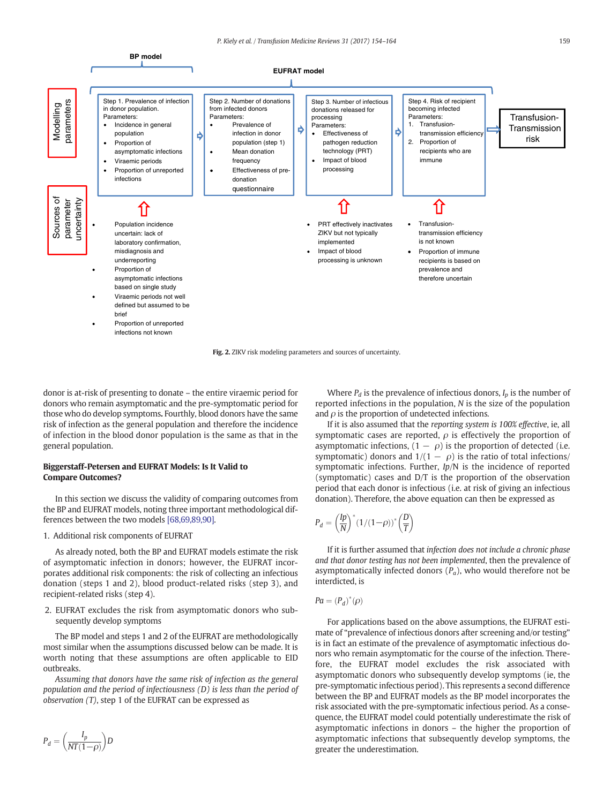<span id="page-5-0"></span>

donor is at-risk of presenting to donate – the entire viraemic period for donors who remain asymptomatic and the pre-symptomatic period for those who do develop symptoms. Fourthly, blood donors have the same risk of infection as the general population and therefore the incidence of infection in the blood donor population is the same as that in the general population.

#### Biggerstaff-Petersen and EUFRAT Models: Is It Valid to Compare Outcomes?

In this section we discuss the validity of comparing outcomes from the BP and EUFRAT models, noting three important methodological differences between the two models [\[68,69,89,90\].](#page-8-0)

#### 1. Additional risk components of EUFRAT

As already noted, both the BP and EUFRAT models estimate the risk of asymptomatic infection in donors; however, the EUFRAT incorporates additional risk components: the risk of collecting an infectious donation (steps 1 and 2), blood product-related risks (step 3), and recipient-related risks (step 4).

2. EUFRAT excludes the risk from asymptomatic donors who subsequently develop symptoms

The BP model and steps 1 and 2 of the EUFRAT are methodologically most similar when the assumptions discussed below can be made. It is worth noting that these assumptions are often applicable to EID outbreaks.

Assuming that donors have the same risk of infection as the general population and the period of infectiousness (D) is less than the period of observation (T), step 1 of the EUFRAT can be expressed as

$$
P_d = \left(\frac{I_p}{NT(1-\rho)}\right)D
$$

Where  $P_d$  is the prevalence of infectious donors,  $I_p$  is the number of reported infections in the population, N is the size of the population and  $\rho$  is the proportion of undetected infections.

If it is also assumed that the reporting system is 100% effective, ie, all symptomatic cases are reported,  $\rho$  is effectively the proportion of asymptomatic infections,  $(1 - \rho)$  is the proportion of detected (i.e. symptomatic) donors and  $1/(1 - \rho)$  is the ratio of total infections/ symptomatic infections. Further, Ip/N is the incidence of reported (symptomatic) cases and D/T is the proportion of the observation period that each donor is infectious (i.e. at risk of giving an infectious donation). Therefore, the above equation can then be expressed as

$$
P_d = \left(\frac{lp}{N}\right)^* \left(1/(1-\rho)\right)^* \left(\frac{D}{T}\right)
$$

If it is further assumed that infection does not include a chronic phase and that donor testing has not been implemented, then the prevalence of asymptomatically infected donors  $(P_a)$ , who would therefore not be interdicted, is

$$
Pa = (P_d)^*(\rho)
$$

For applications based on the above assumptions, the EUFRAT estimate of "prevalence of infectious donors after screening and/or testing" is in fact an estimate of the prevalence of asymptomatic infectious donors who remain asymptomatic for the course of the infection. Therefore, the EUFRAT model excludes the risk associated with asymptomatic donors who subsequently develop symptoms (ie, the pre-symptomatic infectious period). This represents a second difference between the BP and EUFRAT models as the BP model incorporates the risk associated with the pre-symptomatic infectious period. As a consequence, the EUFRAT model could potentially underestimate the risk of asymptomatic infections in donors – the higher the proportion of asymptomatic infections that subsequently develop symptoms, the greater the underestimation.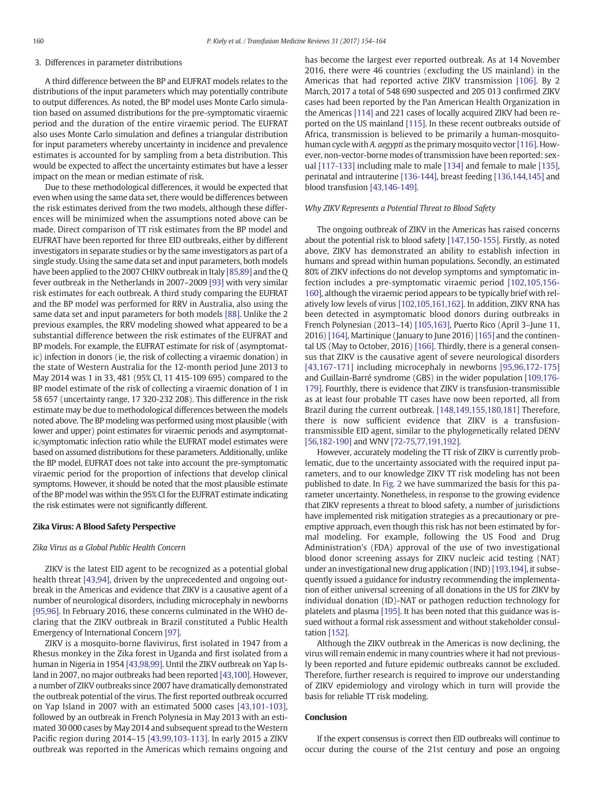#### 3. Differences in parameter distributions

A third difference between the BP and EUFRAT models relates to the distributions of the input parameters which may potentially contribute to output differences. As noted, the BP model uses Monte Carlo simulation based on assumed distributions for the pre-symptomatic viraemic period and the duration of the entire viraemic period. The EUFRAT also uses Monte Carlo simulation and defines a triangular distribution for input parameters whereby uncertainty in incidence and prevalence estimates is accounted for by sampling from a beta distribution. This would be expected to affect the uncertainty estimates but have a lesser impact on the mean or median estimate of risk.

Due to these methodological differences, it would be expected that even when using the same data set, there would be differences between the risk estimates derived from the two models, although these differences will be minimized when the assumptions noted above can be made. Direct comparison of TT risk estimates from the BP model and EUFRAT have been reported for three EID outbreaks, either by different investigators in separate studies or by the same investigators as part of a single study. Using the same data set and input parameters, both models have been applied to the 2007 CHIKV outbreak in Italy [\[85,89\]](#page-8-0) and the Q fever outbreak in the Netherlands in 2007–2009 [\[93\]](#page-8-0) with very similar risk estimates for each outbreak. A third study comparing the EUFRAT and the BP model was performed for RRV in Australia, also using the same data set and input parameters for both models [\[88\].](#page-8-0) Unlike the 2 previous examples, the RRV modeling showed what appeared to be a substantial difference between the risk estimates of the EUFRAT and BP models. For example, the EUFRAT estimate for risk of (asymptomatic) infection in donors (ie, the risk of collecting a viraemic donation) in the state of Western Australia for the 12-month period June 2013 to May 2014 was 1 in 33, 481 (95% CI, 11 415-109 695) compared to the BP model estimate of the risk of collecting a viraemic donation of 1 in 58 657 (uncertainty range, 17 320-232 208). This difference in the risk estimate may be due to methodological differences between the models noted above. The BP modeling was performed using most plausible (with lower and upper) point estimates for viraemic periods and asymptomatic/symptomatic infection ratio while the EUFRAT model estimates were based on assumed distributions for these parameters. Additionally, unlike the BP model, EUFRAT does not take into account the pre-symptomatic viraemic period for the proportion of infections that develop clinical symptoms. However, it should be noted that the most plausible estimate of the BP model was within the 95% CI for the EUFRAT estimate indicating the risk estimates were not significantly different.

#### Zika Virus: A Blood Safety Perspective

#### Zika Virus as a Global Public Health Concern

ZIKV is the latest EID agent to be recognized as a potential global health threat [\[43,94\],](#page-7-0) driven by the unprecedented and ongoing outbreak in the Americas and evidence that ZIKV is a causative agent of a number of neurological disorders, including microcephaly in newborns [\[95,96\].](#page-8-0) In February 2016, these concerns culminated in the WHO declaring that the ZIKV outbreak in Brazil constituted a Public Health Emergency of International Concern [\[97\].](#page-8-0)

ZIKV is a mosquito-borne flavivirus, first isolated in 1947 from a Rhesus monkey in the Zika forest in Uganda and first isolated from a human in Nigeria in 1954 [\[43,98,99\].](#page-7-0) Until the ZIKV outbreak on Yap Island in 2007, no major outbreaks had been reported [\[43,100\].](#page-7-0) However, a number of ZIKV outbreaks since 2007 have dramatically demonstrated the outbreak potential of the virus. The first reported outbreak occurred on Yap Island in 2007 with an estimated 5000 cases [\[43,101-103\],](#page-7-0) followed by an outbreak in French Polynesia in May 2013 with an estimated 30 000 cases by May 2014 and subsequent spread to the Western Pacific region during 2014–15 [\[43,99,103-113\]](#page-7-0). In early 2015 a ZIKV outbreak was reported in the Americas which remains ongoing and has become the largest ever reported outbreak. As at 14 November 2016, there were 46 countries (excluding the US mainland) in the Americas that had reported active ZIKV transmission [\[106\]](#page-8-0). By 2 March, 2017 a total of 548 690 suspected and 205 013 confirmed ZIKV cases had been reported by the Pan American Health Organization in the Americas [\[114\]](#page-8-0) and 221 cases of locally acquired ZIKV had been reported on the US mainland [\[115\].](#page-8-0) In these recent outbreaks outside of Africa, transmission is believed to be primarily a human-mosquitohuman cycle with A. aegypti as the primary mosquito vector [\[116\]](#page-8-0). However, non-vector-borne modes of transmission have been reported: sexual [\[117-133\]](#page-8-0) including male to male [\[134\]](#page-9-0) and female to male [\[135\],](#page-9-0) perinatal and intrauterine [\[136-144\]](#page-9-0), breast feeding [\[136,144,145\]](#page-9-0) and blood transfusion [\[43,146-149\]](#page-7-0).

#### Why ZIKV Represents a Potential Threat to Blood Safety

The ongoing outbreak of ZIKV in the Americas has raised concerns about the potential risk to blood safety [\[147,150-155\]](#page-9-0). Firstly, as noted above, ZIKV has demonstrated an ability to establish infection in humans and spread within human populations. Secondly, an estimated 80% of ZIKV infections do not develop symptoms and symptomatic infection includes a pre-symptomatic viraemic period [\[102,105,156-](#page-8-0) [160\],](#page-8-0) although the viraemic period appears to be typically brief with relatively low levels of virus [\[102,105,161,162\]](#page-8-0). In addition, ZIKV RNA has been detected in asymptomatic blood donors during outbreaks in French Polynesian (2013–14) [\[105,163\],](#page-8-0) Puerto Rico (April 3–June 11, 2016) [\[164\]](#page-9-0), Martinique (January to June 2016) [\[165\]](#page-9-0) and the continental US (May to October, 2016) [\[166\]](#page-9-0). Thirdly, there is a general consensus that ZIKV is the causative agent of severe neurological disorders [\[43,167-171\]](#page-7-0) including microcephaly in newborns [\[95,96,172-175\]](#page-8-0) and Guillain-Barré syndrome (GBS) in the wider population [\[109,176-](#page-8-0) [179\].](#page-8-0) Fourthly, there is evidence that ZIKV is transfusion-transmissible as at least four probable TT cases have now been reported, all from Brazil during the current outbreak. [\[148,149,155,180,181\]](#page-9-0) Therefore, there is now sufficient evidence that ZIKV is a transfusiontransmissible EID agent, similar to the phylogenetically related DENV [\[56,182-190\]](#page-7-0) and WNV [\[72-75,77,191,192\]](#page-8-0).

However, accurately modeling the TT risk of ZIKV is currently problematic, due to the uncertainty associated with the required input parameters, and to our knowledge ZIKV TT risk modeling has not been published to date. In [Fig. 2](#page-5-0) we have summarized the basis for this parameter uncertainty. Nonetheless, in response to the growing evidence that ZIKV represents a threat to blood safety, a number of jurisdictions have implemented risk mitigation strategies as a precautionary or preemptive approach, even though this risk has not been estimated by formal modeling. For example, following the US Food and Drug Administration's (FDA) approval of the use of two investigational blood donor screening assays for ZIKV nucleic acid testing (NAT) under an investigational new drug application (IND) [\[193,194\],](#page-10-0) it subsequently issued a guidance for industry recommending the implementation of either universal screening of all donations in the US for ZIKV by individual donation (ID)-NAT or pathogen reduction technology for platelets and plasma [\[195\]](#page-10-0). It has been noted that this guidance was issued without a formal risk assessment and without stakeholder consultation [\[152\]](#page-9-0).

Although the ZIKV outbreak in the Americas is now declining, the virus will remain endemic in many countries where it had not previously been reported and future epidemic outbreaks cannot be excluded. Therefore, further research is required to improve our understanding of ZIKV epidemiology and virology which in turn will provide the basis for reliable TT risk modeling.

#### **Conclusion**

If the expert consensus is correct then EID outbreaks will continue to occur during the course of the 21st century and pose an ongoing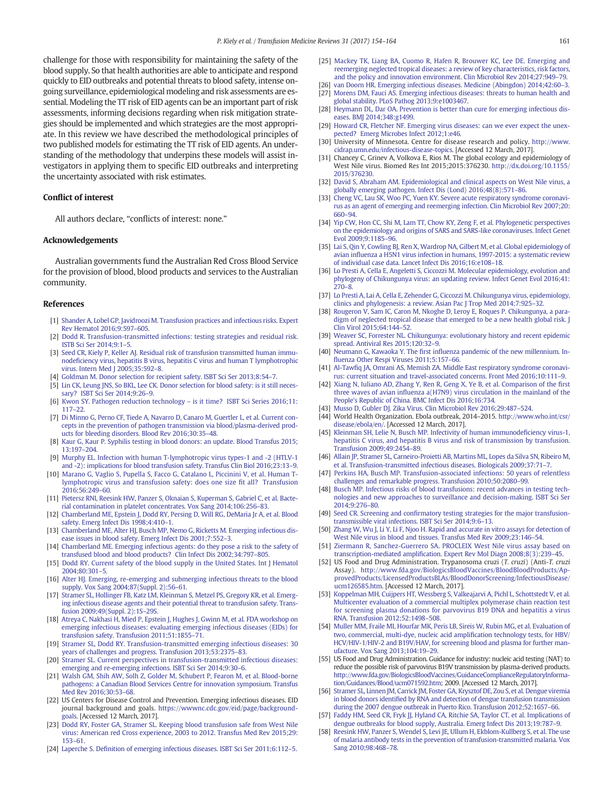<span id="page-7-0"></span>challenge for those with responsibility for maintaining the safety of the blood supply. So that health authorities are able to anticipate and respond quickly to EID outbreaks and potential threats to blood safety, intense ongoing surveillance, epidemiological modeling and risk assessments are essential. Modeling the TT risk of EID agents can be an important part of risk assessments, informing decisions regarding when risk mitigation strategies should be implemented and which strategies are the most appropriate. In this review we have described the methodological principles of two published models for estimating the TT risk of EID agents. An understanding of the methodology that underpins these models will assist investigators in applying them to specific EID outbreaks and interpreting the uncertainty associated with risk estimates.

#### Conflict of interest

All authors declare, "conflicts of interest: none."

#### Acknowledgements

Australian governments fund the Australian Red Cross Blood Service for the provision of blood, blood products and services to the Australian community.

#### References

- [1] [Shander A, Lobel GP, Javidroozi M. Transfusion practices and infectious risks. Expert](http://refhub.elsevier.com/S0887-7963(17)30049-4/rf0005) [Rev Hematol 2016;9:597](http://refhub.elsevier.com/S0887-7963(17)30049-4/rf0005)–605.
- [2] [Dodd R. Transfusion-transmitted infections: testing strategies and residual risk.](http://refhub.elsevier.com/S0887-7963(17)30049-4/rf0010) [ISTB Sci Ser 2014;9:1](http://refhub.elsevier.com/S0887-7963(17)30049-4/rf0010)–5.
- [3] [Seed CR, Kiely P, Keller AJ. Residual risk of transfusion transmitted human immu](http://refhub.elsevier.com/S0887-7963(17)30049-4/rf0015)nodefi[ciency virus, hepatitis B virus, hepatitis C virus and human T lymphotrophic](http://refhub.elsevier.com/S0887-7963(17)30049-4/rf0015) [virus. Intern Med J 2005;35:592](http://refhub.elsevier.com/S0887-7963(17)30049-4/rf0015)–8.
- [4] [Goldman M. Donor selection for recipient safety. ISBT Sci Ser 2013;8:54](http://refhub.elsevier.com/S0887-7963(17)30049-4/rf0020)–7.
- [5] [Lin CK, Leung JNS, So BKL, Lee CK. Donor selection for blood safety: is it still neces](http://refhub.elsevier.com/S0887-7963(17)30049-4/rf0025)[sary? ISBT Sci Ser 2014;9:26](http://refhub.elsevier.com/S0887-7963(17)30049-4/rf0025)–9.
- [6] [Kwon SY. Pathogen reduction technology](http://refhub.elsevier.com/S0887-7963(17)30049-4/rf0030) is it time? ISBT Sci Series 2016;11: [117](http://refhub.elsevier.com/S0887-7963(17)30049-4/rf0030)–22.
- [7] [Di Minno G, Perno CF, Tiede A, Navarro D, Canaro M, Guertler L, et al. Current con](http://refhub.elsevier.com/S0887-7963(17)30049-4/rf0035)[cepts in the prevention of pathogen transmission via blood/plasma-derived prod](http://refhub.elsevier.com/S0887-7963(17)30049-4/rf0035)[ucts for bleeding disorders. Blood Rev 2016;30:35](http://refhub.elsevier.com/S0887-7963(17)30049-4/rf0035)–48.
- [8] [Kaur G, Kaur P. Syphilis testing in blood donors: an update. Blood Transfus 2015;](http://refhub.elsevier.com/S0887-7963(17)30049-4/rf0040) [13:197](http://refhub.elsevier.com/S0887-7963(17)30049-4/rf0040)–204.
- [9] [Murphy EL. Infection with human T-lymphotropic virus types-1 and -2 \(HTLV-1](http://refhub.elsevier.com/S0887-7963(17)30049-4/rf0045) [and -2\): implications for blood transfusion safety. Transfus Clin Biol 2016;23:13](http://refhub.elsevier.com/S0887-7963(17)30049-4/rf0045)–9.
- [10] [Marano G, Vaglio S, Pupella S, Facco G, Catalano L, Piccinini V, et al. Human T](http://refhub.elsevier.com/S0887-7963(17)30049-4/rf0050)[lymphotropic virus and transfusion safety: does one size](http://refhub.elsevier.com/S0887-7963(17)30049-4/rf0050) fit all? Transfusion [2016;56:249](http://refhub.elsevier.com/S0887-7963(17)30049-4/rf0050)–60.
- [11] [Pietersz RNI, Reesink HW, Panzer S, Oknaian S, Kuperman S, Gabriel C, et al. Bacte](http://refhub.elsevier.com/S0887-7963(17)30049-4/rf0055)[rial contamination in platelet concentrates. Vox Sang 2014;106:256](http://refhub.elsevier.com/S0887-7963(17)30049-4/rf0055)–83.
- [12] [Chamberland ME, Epstein J, Dodd RY, Persing D, Will RG, DeMaria Jr A, et al. Blood](http://refhub.elsevier.com/S0887-7963(17)30049-4/rf0060) [safety. Emerg Infect Dis 1998;4:410](http://refhub.elsevier.com/S0887-7963(17)30049-4/rf0060)–1.
- [13] Chamberland ME, Alter HJ, Busch MP, Nemo G, Ricketts M, Emerging infectious dis[ease issues in blood safety. Emerg Infect Dis 2001;7:552](http://refhub.elsevier.com/S0887-7963(17)30049-4/rf0065)–3.
- [14] [Chamberland ME. Emerging infectious agents: do they pose a risk to the safety of](http://refhub.elsevier.com/S0887-7963(17)30049-4/rf0070) [transfused blood and blood products? Clin Infect Dis 2002;34:797](http://refhub.elsevier.com/S0887-7963(17)30049-4/rf0070)–805.
- [15] [Dodd RY. Current safety of the blood supply in the United States. Int J Hematol](http://refhub.elsevier.com/S0887-7963(17)30049-4/rf0075) [2004;80:301](http://refhub.elsevier.com/S0887-7963(17)30049-4/rf0075)–5.
- [16] [Alter HJ. Emerging, re-emerging and submerging infectious threats to the blood](http://refhub.elsevier.com/S0887-7963(17)30049-4/rf0080) [supply. Vox Sang 2004;87\(Suppl. 2\):56](http://refhub.elsevier.com/S0887-7963(17)30049-4/rf0080)–61.
- [17] [Stramer SL, Hollinger FB, Katz LM, Kleinman S, Metzel PS, Gregory KR, et al. Emerg](http://refhub.elsevier.com/S0887-7963(17)30049-4/rf0085)[ing infectious disease agents and their potential threat to transfusion safety. Trans](http://refhub.elsevier.com/S0887-7963(17)30049-4/rf0085)[fusion 2009;49\(Suppl. 2\):1S](http://refhub.elsevier.com/S0887-7963(17)30049-4/rf0085)–29S.
- [18] [Atreya C, Nakhasi H, Mied P, Epstein J, Hughes J, Gwinn M, et al. FDA workshop on](http://refhub.elsevier.com/S0887-7963(17)30049-4/rf0090) [emerging infectious diseases: evaluating emerging infectious diseases \(EIDs\) for](http://refhub.elsevier.com/S0887-7963(17)30049-4/rf0090) [transfusion safety. Transfusion 2011;51:1855](http://refhub.elsevier.com/S0887-7963(17)30049-4/rf0090)–71.
- [19] [Stramer SL, Dodd RY. Transfusion-transmitted emerging infectious diseases: 30](http://refhub.elsevier.com/S0887-7963(17)30049-4/rf0095) [years of challenges and progress. Transfusion 2013;53:2375](http://refhub.elsevier.com/S0887-7963(17)30049-4/rf0095)–83.
- [20] [Stramer SL. Current perspectives in transfusion-transmitted infectious diseases:](http://refhub.elsevier.com/S0887-7963(17)30049-4/rf0100) [emerging and re-emerging infections. ISBT Sci Ser 2014;9:30](http://refhub.elsevier.com/S0887-7963(17)30049-4/rf0100)–6.
- [21] [Walsh GM, Shih AW, Solh Z, Golder M, Schubert P, Fearon M, et al. Blood-borne](http://refhub.elsevier.com/S0887-7963(17)30049-4/rf0105) [pathogens: a Canadian Blood Services Centre for innovation symposium. Transfus](http://refhub.elsevier.com/S0887-7963(17)30049-4/rf0105) [Med Rev 2016;30:53](http://refhub.elsevier.com/S0887-7963(17)30049-4/rf0105)–68.
- [22] US Centers for Disease Control and Prevention. Emerging infectious diseases. EID journal background and goals. [https://wwwnc.cdc.gov/eid/page/background](https://wwwnc.cdc.gov/eid/page/background-goals)[goals](https://wwwnc.cdc.gov/eid/page/background-goals). [Accessed 12 March, 2017].
- [23] [Dodd RY, Foster GA, Stramer SL. Keeping blood transfusion safe from West Nile](http://refhub.elsevier.com/S0887-7963(17)30049-4/rf0115) [virus: American red Cross experience, 2003 to 2012. Transfus Med Rev 2015;29:](http://refhub.elsevier.com/S0887-7963(17)30049-4/rf0115) [153](http://refhub.elsevier.com/S0887-7963(17)30049-4/rf0115)–61.
- [24] Laperche S. Defi[nition of emerging infectious diseases. ISBT Sci Ser 2011;6:112](http://refhub.elsevier.com/S0887-7963(17)30049-4/rf0120)-5.
- [25] [Mackey TK, Liang BA, Cuomo R, Hafen R, Brouwer KC, Lee DE. Emerging and](http://refhub.elsevier.com/S0887-7963(17)30049-4/rf0125) [reemerging neglected tropical diseases: a review of key characteristics, risk factors,](http://refhub.elsevier.com/S0887-7963(17)30049-4/rf0125) [and the policy and innovation environment. Clin Microbiol Rev 2014;27:949](http://refhub.elsevier.com/S0887-7963(17)30049-4/rf0125)–79.
- [26] [van Doorn HR. Emerging infectious diseases. Medicine \(Abingdon\) 2014;42:60](http://refhub.elsevier.com/S0887-7963(17)30049-4/rf0130)–3.
- [27] [Morens DM, Fauci AS. Emerging infectious diseases: threats to human health and](http://refhub.elsevier.com/S0887-7963(17)30049-4/rf0135) [global stability. PLoS Pathog 2013;9:e1003467.](http://refhub.elsevier.com/S0887-7963(17)30049-4/rf0135)
- [28] [Heymann DL, Dar OA. Prevention is better than cure for emerging infectious dis](http://refhub.elsevier.com/S0887-7963(17)30049-4/rf0140)[eases. BMJ 2014;348:g1499.](http://refhub.elsevier.com/S0887-7963(17)30049-4/rf0140)
- [29] [Howard CR, Fletcher NF. Emerging virus diseases: can we ever expect the unex](http://refhub.elsevier.com/S0887-7963(17)30049-4/rf0145)[pected? Emerg Microbes Infect 2012;1:e46.](http://refhub.elsevier.com/S0887-7963(17)30049-4/rf0145)
- [30] University of Minnesota. Centre for disease research and policy. [http://www.](http://www.cidrap.umn.edu/infectious-disease-topics) [cidrap.umn.edu/infectious-disease-topics](http://www.cidrap.umn.edu/infectious-disease-topics). [Accessed 12 March, 2017].
- [31] Chancey C, Grinev A, Volkova E, Rios M. The global ecology and epidemiology of West Nile virus. Biomed Res Int 2015;2015:376230. [http://dx.doi.org/10.1155/](http://dx.doi.org/10.1155/2015/376230) [2015/376230.](http://dx.doi.org/10.1155/2015/376230)
- [32] [David S, Abraham AM. Epidemiological and clinical aspects on West Nile virus, a](http://refhub.elsevier.com/S0887-7963(17)30049-4/rf0160) [globally emerging pathogen. Infect Dis \(Lond\) 2016;48\(8\):571](http://refhub.elsevier.com/S0887-7963(17)30049-4/rf0160)–86.
- [33] [Cheng VC, Lau SK, Woo PC, Yuen KY. Severe acute respiratory syndrome coronavi](http://refhub.elsevier.com/S0887-7963(17)30049-4/rf0165)[rus as an agent of emerging and reemerging infection. Clin Microbiol Rev 2007;20:](http://refhub.elsevier.com/S0887-7963(17)30049-4/rf0165) [660](http://refhub.elsevier.com/S0887-7963(17)30049-4/rf0165)–94.
- [34] [Yip CW, Hon CC, Shi M, Lam TT, Chow KY, Zeng F, et al. Phylogenetic perspectives](http://refhub.elsevier.com/S0887-7963(17)30049-4/rf0170) [on the epidemiology and origins of SARS and SARS-like coronaviruses. Infect Genet](http://refhub.elsevier.com/S0887-7963(17)30049-4/rf0170) [Evol 2009;9:1185](http://refhub.elsevier.com/S0887-7963(17)30049-4/rf0170)–96.
- [35] [Lai S, Qin Y, Cowling BJ, Ren X, Wardrop NA, Gilbert M, et al. Global epidemiology of](http://refhub.elsevier.com/S0887-7963(17)30049-4/rf0175) avian infl[uenza a H5N1 virus infection in humans, 1997-2015: a systematic review](http://refhub.elsevier.com/S0887-7963(17)30049-4/rf0175) [of individual case data. Lancet Infect Dis 2016;16:e108](http://refhub.elsevier.com/S0887-7963(17)30049-4/rf0175)–18.
- [36] [Lo Presti A, Cella E, Angeletti S, Ciccozzi M. Molecular epidemiology, evolution and](http://refhub.elsevier.com/S0887-7963(17)30049-4/rf0180) [phylogeny of Chikungunya virus: an updating review. Infect Genet Evol 2016;41:](http://refhub.elsevier.com/S0887-7963(17)30049-4/rf0180) [270](http://refhub.elsevier.com/S0887-7963(17)30049-4/rf0180)–8.
- [37] [Lo Presti A, Lai A, Cella E, Zehender G, Ciccozzi M. Chikungunya virus, epidemiology,](http://refhub.elsevier.com/S0887-7963(17)30049-4/rf0185) [clinics and phylogenesis: a review. Asian Pac J Trop Med 2014;7:925](http://refhub.elsevier.com/S0887-7963(17)30049-4/rf0185)–32.
- [38] [Rougeron V, Sam IC, Caron M, Nkoghe D, Leroy E, Roques P. Chikungunya, a para](http://refhub.elsevier.com/S0887-7963(17)30049-4/rf0190)[digm of neglected tropical disease that emerged to be a new health global risk. J](http://refhub.elsevier.com/S0887-7963(17)30049-4/rf0190) [Clin Virol 2015;64:144](http://refhub.elsevier.com/S0887-7963(17)30049-4/rf0190)–52.
- [39] [Weaver SC, Forrester NL. Chikungunya: evolutionary history and recent epidemic](http://refhub.elsevier.com/S0887-7963(17)30049-4/rf0195) [spread. Antiviral Res 2015;120:32](http://refhub.elsevier.com/S0887-7963(17)30049-4/rf0195)–9.
- [40] Neumann G, Kawaoka Y. The first infl[uenza pandemic of the new millennium. In](http://refhub.elsevier.com/S0887-7963(17)30049-4/rf0200)fl[uenza Other Respi Viruses 2011;5:157](http://refhub.elsevier.com/S0887-7963(17)30049-4/rf0200)–66.
- [41] Al-Tawfi[q JA, Omrani AS, Memish ZA. Middle East respiratory syndrome coronavi](http://refhub.elsevier.com/S0887-7963(17)30049-4/rf0205)[rus: current situation and travel-associated concerns. Front Med 2016;10:111](http://refhub.elsevier.com/S0887-7963(17)30049-4/rf0205)–9.
- [42] [Xiang N, Iuliano AD, Zhang Y, Ren R, Geng X, Ye B, et al. Comparison of the](http://refhub.elsevier.com/S0887-7963(17)30049-4/rf0210) first three waves of avian infl[uenza a\(H7N9\) virus circulation in the mainland of the](http://refhub.elsevier.com/S0887-7963(17)30049-4/rf0210) [People's Republic of China. BMC Infect Dis 2016;16:734.](http://refhub.elsevier.com/S0887-7963(17)30049-4/rf0210)
- [43] [Musso D, Gubler DJ. Zika Virus. Clin Microbiol Rev 2016;29:487](http://refhub.elsevier.com/S0887-7963(17)30049-4/rf0215)–524.
- [44] World Health Organization. Ebola outbreak, 2014–2015. [http://www.who.int/csr/](http://www.who.int/csr/disease/ebola/en) [disease/ebola/en/](http://www.who.int/csr/disease/ebola/en). [Accessed 12 March, 2017].
- [45] [Kleinman SH, Lelie N, Busch MP. Infectivity of human immunode](http://refhub.elsevier.com/S0887-7963(17)30049-4/rf0225)ficiency virus-1, [hepatitis C virus, and hepatitis B virus and risk of transmission by transfusion.](http://refhub.elsevier.com/S0887-7963(17)30049-4/rf0225) [Transfusion 2009;49:2454](http://refhub.elsevier.com/S0887-7963(17)30049-4/rf0225)–89.
- [46] [Allain JP, Stramer SL, Carneiro-Proietti AB, Martins ML, Lopes da Silva SN, Ribeiro M,](http://refhub.elsevier.com/S0887-7963(17)30049-4/rf0230) [et al. Transfusion-transmitted infectious diseases. Biologicals 2009;37:71](http://refhub.elsevier.com/S0887-7963(17)30049-4/rf0230)-7
- [47] [Perkins HA, Busch MP. Transfusion-associated infections: 50 years of relentless](http://refhub.elsevier.com/S0887-7963(17)30049-4/rf0235) [challenges and remarkable progress. Transfusion 2010;50:2080](http://refhub.elsevier.com/S0887-7963(17)30049-4/rf0235)–99.
- [48] [Busch MP. Infectious risks of blood transfusions: recent advances in testing tech](http://refhub.elsevier.com/S0887-7963(17)30049-4/rf0240)[nologies and new approaches to surveillance and decision-making. ISBT Sci Ser](http://refhub.elsevier.com/S0887-7963(17)30049-4/rf0240) [2014;9:276](http://refhub.elsevier.com/S0887-7963(17)30049-4/rf0240)–80.
- [49] Seed CR. Screening and confi[rmatory testing strategies for the major transfusion](http://refhub.elsevier.com/S0887-7963(17)30049-4/rf0245)[transmissible viral infections. ISBT Sci Ser 2014;9:6](http://refhub.elsevier.com/S0887-7963(17)30049-4/rf0245)–13.
- [50] [Zhang W, Wu J, Li Y, Li F, Njoo H. Rapid and accurate in vitro assays for detection of](http://refhub.elsevier.com/S0887-7963(17)30049-4/rf0250) [West Nile virus in blood and tissues. Transfus Med Rev 2009;23:146](http://refhub.elsevier.com/S0887-7963(17)30049-4/rf0250)–54.
- [51] [Ziermann R, Sanchez-Guerrero SA. PROCLEIX West Nile virus assay based on](http://refhub.elsevier.com/S0887-7963(17)30049-4/rf0255) transcription-mediated amplifi[cation. Expert Rev Mol Diagn 2008;8\(3\):239](http://refhub.elsevier.com/S0887-7963(17)30049-4/rf0255)–45.
- [52] US Food and Drug Administration. Trypanosoma cruzi (T. cruzi) (Anti-T. cruzi Assay). [http://www.fda.gov/BiologicsBloodVaccines/BloodBloodProducts/Ap](http://www.fda.gov/BiologicsBloodVaccines/BloodBloodProducts/ApprovedProducts/LicensedProductsBLAs/BloodDonorScreening/InfectiousDisease/ucm126585.htm)[provedProducts/LicensedProductsBLAs/BloodDonorScreening/InfectiousDisease/](http://www.fda.gov/BiologicsBloodVaccines/BloodBloodProducts/ApprovedProducts/LicensedProductsBLAs/BloodDonorScreening/InfectiousDisease/ucm126585.htm) [ucm126585.htm](http://www.fda.gov/BiologicsBloodVaccines/BloodBloodProducts/ApprovedProducts/LicensedProductsBLAs/BloodDonorScreening/InfectiousDisease/ucm126585.htm). [Accessed 12 March, 2017].
- [53] [Koppelman MH, Cuijpers HT, Wessberg S, Valkeajarvi A, Pichl L, Schottstedt V, et al.](http://refhub.elsevier.com/S0887-7963(17)30049-4/rf0265) [Multicenter evaluation of a commercial multiplex polymerase chain reaction test](http://refhub.elsevier.com/S0887-7963(17)30049-4/rf0265) [for screening plasma donations for parvovirus B19 DNA and hepatitis a virus](http://refhub.elsevier.com/S0887-7963(17)30049-4/rf0265) [RNA. Transfusion 2012;52:1498](http://refhub.elsevier.com/S0887-7963(17)30049-4/rf0265)–508.
- [54] [Muller MM, Fraile MI, Hourfar MK, Peris LB, Sireis W, Rubin MG, et al. Evaluation of](http://refhub.elsevier.com/S0887-7963(17)30049-4/rf0270) [two, commercial, multi-dye, nucleic acid ampli](http://refhub.elsevier.com/S0887-7963(17)30049-4/rf0270)fication technology tests, for HBV/ [HCV/HIV-1/HIV-2 and B19V/HAV, for screening blood and plasma for further man](http://refhub.elsevier.com/S0887-7963(17)30049-4/rf0270)[ufacture. Vox Sang 2013;104:19](http://refhub.elsevier.com/S0887-7963(17)30049-4/rf0270)–29.
- [55] US Food and Drug Administration. Guidance for industry: nucleic acid testing (NAT) to reduce the possible risk of parvovirus B19V transmission by plasma-derived products. [http://www.fda.gov/BiologicsBloodVaccines/GuidanceComplianceRegulatoryInforma](http://www.fda.gov/BiologicsBloodVaccines/GuidanceComplianceRegulatoryInformation/Guidances/Blood/ucm071592.htm)[tion/Guidances/Blood/ucm071592.htm](http://www.fda.gov/BiologicsBloodVaccines/GuidanceComplianceRegulatoryInformation/Guidances/Blood/ucm071592.htm); 2009. [Accessed 12 March, 2017].
- [56] [Stramer SL, Linnen JM, Carrick JM, Foster GA, Krysztof DE, Zou S, et al. Dengue viremia](http://refhub.elsevier.com/S0887-7963(17)30049-4/rf0280) in blood donors identifi[ed by RNA and detection of dengue transfusion transmission](http://refhub.elsevier.com/S0887-7963(17)30049-4/rf0280) [during the 2007 dengue outbreak in Puerto Rico. Transfusion 2012;52:1657](http://refhub.elsevier.com/S0887-7963(17)30049-4/rf0280)–66.
- [57] [Faddy HM, Seed CR, Fryk JJ, Hyland CA, Ritchie SA, Taylor CT, et al. Implications of](http://refhub.elsevier.com/S0887-7963(17)30049-4/rf0285) [dengue outbreaks for blood supply, Australia. Emerg Infect Dis 2013;19:787](http://refhub.elsevier.com/S0887-7963(17)30049-4/rf0285)–9.
- [58] [Reesink HW, Panzer S, Wendel S, Levi JE, Ullum H, Ekblom-Kullberg S, et al. The use](http://refhub.elsevier.com/S0887-7963(17)30049-4/rf0290) [of malaria antibody tests in the prevention of transfusion-transmitted malaria. Vox](http://refhub.elsevier.com/S0887-7963(17)30049-4/rf0290) [Sang 2010;98:468](http://refhub.elsevier.com/S0887-7963(17)30049-4/rf0290)–78.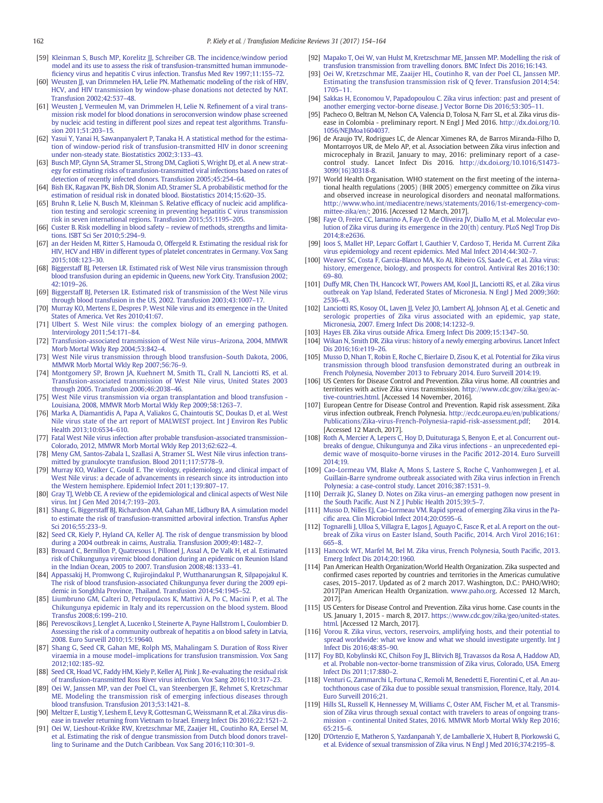- <span id="page-8-0"></span>[59] [Kleinman S, Busch MP, Korelitz JJ, Schreiber GB. The incidence/window period](http://refhub.elsevier.com/S0887-7963(17)30049-4/rf0295) [model and its use to assess the risk of transfusion-transmitted human immunode](http://refhub.elsevier.com/S0887-7963(17)30049-4/rf0295)fi[ciency virus and hepatitis C virus infection. Transfus Med Rev 1997;11:155](http://refhub.elsevier.com/S0887-7963(17)30049-4/rf0295)–72.
- [60] [Weusten JJ, van Drimmelen HA, Lelie PN. Mathematic modeling of the risk of HBV,](http://refhub.elsevier.com/S0887-7963(17)30049-4/rf0300) [HCV, and HIV transmission by window-phase donations not detected by NAT.](http://refhub.elsevier.com/S0887-7963(17)30049-4/rf0300) [Transfusion 2002;42:537](http://refhub.elsevier.com/S0887-7963(17)30049-4/rf0300)–48.
- [61] [Weusten J, Vermeulen M, van Drimmelen H, Lelie N. Re](http://refhub.elsevier.com/S0887-7963(17)30049-4/rf0305)finement of a viral trans[mission risk model for blood donations in seroconversion window phase screened](http://refhub.elsevier.com/S0887-7963(17)30049-4/rf0305) [by nucleic acid testing in different pool sizes and repeat test algorithms. Transfu](http://refhub.elsevier.com/S0887-7963(17)30049-4/rf0305)[sion 2011;51:203](http://refhub.elsevier.com/S0887-7963(17)30049-4/rf0305)–15.
- [62] [Yasui Y, Yanai H, Sawanpanyalert P, Tanaka H. A statistical method for the estima](http://refhub.elsevier.com/S0887-7963(17)30049-4/rf0310)[tion of window-period risk of transfusion-transmitted HIV in donor screening](http://refhub.elsevier.com/S0887-7963(17)30049-4/rf0310) [under non-steady state. Biostatistics 2002;3:133](http://refhub.elsevier.com/S0887-7963(17)30049-4/rf0310)–43.
- [63] [Busch MP, Glynn SA, Stramer SL, Strong DM, Caglioti S, Wright DJ, et al. A new strat](http://refhub.elsevier.com/S0887-7963(17)30049-4/rf0315)[egy for estimating risks of transfusion-transmitted viral infections based on rates of](http://refhub.elsevier.com/S0887-7963(17)30049-4/rf0315) [detection of recently infected donors. Transfusion 2005;45:254](http://refhub.elsevier.com/S0887-7963(17)30049-4/rf0315)–64.
- [64] [Bish EK, Ragavan PK, Bish DR, Slonim AD, Stramer SL. A probabilistic method for the](http://refhub.elsevier.com/S0887-7963(17)30049-4/rf0320) [estimation of residual risk in donated blood. Biostatistics 2014;15:620](http://refhub.elsevier.com/S0887-7963(17)30049-4/rf0320)–35.
- [65] [Bruhn R, Lelie N, Busch M, Kleinman S. Relative ef](http://refhub.elsevier.com/S0887-7963(17)30049-4/rf0325)ficacy of nucleic acid amplifica[tion testing and serologic screening in preventing hepatitis C virus transmission](http://refhub.elsevier.com/S0887-7963(17)30049-4/rf0325) [risk in seven international regions. Transfusion 2015;55:1195](http://refhub.elsevier.com/S0887-7963(17)30049-4/rf0325)–205.
- [66] Custer B. Risk modelling in blood safety [review of methods, strengths and limita](http://refhub.elsevier.com/S0887-7963(17)30049-4/rf0330)[tions. ISBT Sci Ser 2010;5:294](http://refhub.elsevier.com/S0887-7963(17)30049-4/rf0330)–9.
- [67] [an der Heiden M, Ritter S, Hamouda O, Offergeld R. Estimating the residual risk for](http://refhub.elsevier.com/S0887-7963(17)30049-4/rf0335) [HIV, HCV and HBV in different types of platelet concentrates in Germany. Vox Sang](http://refhub.elsevier.com/S0887-7963(17)30049-4/rf0335) [2015;108:123](http://refhub.elsevier.com/S0887-7963(17)30049-4/rf0335)–30.
- [68] [Biggerstaff BJ, Petersen LR. Estimated risk of West Nile virus transmission through](http://refhub.elsevier.com/S0887-7963(17)30049-4/rf0340) [blood transfusion during an epidemic in Queens, new York City. Transfusion 2002;](http://refhub.elsevier.com/S0887-7963(17)30049-4/rf0340) [42:1019](http://refhub.elsevier.com/S0887-7963(17)30049-4/rf0340)–26.
- [69] [Biggerstaff BJ, Petersen LR. Estimated risk of transmission of the West Nile virus](http://refhub.elsevier.com/S0887-7963(17)30049-4/rf0345) [through blood transfusion in the US, 2002. Transfusion 2003;43:1007](http://refhub.elsevier.com/S0887-7963(17)30049-4/rf0345)–17.
- [70] [Murray KO, Mertens E, Despres P. West Nile virus and its emergence in the United](http://refhub.elsevier.com/S0887-7963(17)30049-4/rf0350) [States of America. Vet Res 2010;41:67.](http://refhub.elsevier.com/S0887-7963(17)30049-4/rf0350)
- [71] [Ulbert S. West Nile virus: the complex biology of an emerging pathogen.](http://refhub.elsevier.com/S0887-7963(17)30049-4/rf0355) [Intervirology 2011;54:171](http://refhub.elsevier.com/S0887-7963(17)30049-4/rf0355)–84.
- [72] [Transfusion-associated transmission of West Nile virus](http://refhub.elsevier.com/S0887-7963(17)30049-4/rf0360)–Arizona, 2004, MMWR [Morb Mortal Wkly Rep 2004;53:842](http://refhub.elsevier.com/S0887-7963(17)30049-4/rf0360)–4.
- [73] [West Nile virus transmission through blood transfusion](http://refhub.elsevier.com/S0887-7963(17)30049-4/rf0365)–South Dakota, 2006, [MMWR Morb Mortal Wkly Rep 2007;56:76](http://refhub.elsevier.com/S0887-7963(17)30049-4/rf0365)–9.
- [74] [Montgomery SP, Brown JA, Kuehnert M, Smith TL, Crall N, Lanciotti RS, et al.](http://refhub.elsevier.com/S0887-7963(17)30049-4/rf0370) [Transfusion-associated transmission of West Nile virus, United States 2003](http://refhub.elsevier.com/S0887-7963(17)30049-4/rf0370) [through 2005. Transfusion 2006;46:2038](http://refhub.elsevier.com/S0887-7963(17)30049-4/rf0370)–46.
- [75] [West Nile virus transmission via organ transplantation and blood transfusion -](http://refhub.elsevier.com/S0887-7963(17)30049-4/rf0375) [Louisiana, 2008, MMWR Morb Mortal Wkly Rep 2009;58:1263](http://refhub.elsevier.com/S0887-7963(17)30049-4/rf0375)–7.
- [76] [Marka A, Diamantidis A, Papa A, Valiakos G, Chaintoutis SC, Doukas D, et al. West](http://refhub.elsevier.com/S0887-7963(17)30049-4/rf0380) [Nile virus state of the art report of MALWEST project. Int J Environ Res Public](http://refhub.elsevier.com/S0887-7963(17)30049-4/rf0380) [Health 2013;10:6534](http://refhub.elsevier.com/S0887-7963(17)30049-4/rf0380)–610.
- [77] [Fatal West Nile virus infection after probable transfusion-associated transmission](http://refhub.elsevier.com/S0887-7963(17)30049-4/rf0385) [Colorado, 2012, MMWR Morb Mortal Wkly Rep 2013;62:622](http://refhub.elsevier.com/S0887-7963(17)30049-4/rf0385)–4.
- [78] [Meny GM, Santos-Zabala L, Szallasi A, Stramer SL. West Nile virus infection trans](http://refhub.elsevier.com/S0887-7963(17)30049-4/rf0390)[mitted by granulocyte transfusion. Blood 2011;117:5778](http://refhub.elsevier.com/S0887-7963(17)30049-4/rf0390)–9.
- [79] [Murray KO, Walker C, Gould E. The virology, epidemiology, and clinical impact of](http://refhub.elsevier.com/S0887-7963(17)30049-4/rf0395) [West Nile virus: a decade of advancements in research since its introduction into](http://refhub.elsevier.com/S0887-7963(17)30049-4/rf0395) [the Western hemisphere. Epidemiol Infect 2011;139:807](http://refhub.elsevier.com/S0887-7963(17)30049-4/rf0395)–17.
- [80] [Gray TJ, Webb CE. A review of the epidemiological and clinical aspects of West Nile](http://refhub.elsevier.com/S0887-7963(17)30049-4/rf0400) [virus. Int J Gen Med 2014;7:193](http://refhub.elsevier.com/S0887-7963(17)30049-4/rf0400)–203.
- [81] [Shang G, Biggerstaff BJ, Richardson AM, Gahan ME, Lidbury BA. A simulation model](http://refhub.elsevier.com/S0887-7963(17)30049-4/rf0405) [to estimate the risk of transfusion-transmitted arboviral infection. Transfus Apher](http://refhub.elsevier.com/S0887-7963(17)30049-4/rf0405) [Sci 2016;55:233](http://refhub.elsevier.com/S0887-7963(17)30049-4/rf0405)–9.
- [82] [Seed CR, Kiely P, Hyland CA, Keller AJ. The risk of dengue transmission by blood](http://refhub.elsevier.com/S0887-7963(17)30049-4/rf0410) [during a 2004 outbreak in cairns, Australia. Transfusion 2009;49:1482](http://refhub.elsevier.com/S0887-7963(17)30049-4/rf0410)–7.
- [83] [Brouard C, Bernillon P, Quatresous I, Pillonel J, Assal A, De Valk H, et al. Estimated](http://refhub.elsevier.com/S0887-7963(17)30049-4/rf0415) [risk of Chikungunya viremic blood donation during an epidemic on Reunion Island](http://refhub.elsevier.com/S0887-7963(17)30049-4/rf0415) [in the Indian Ocean, 2005 to 2007. Transfusion 2008;48:1333](http://refhub.elsevier.com/S0887-7963(17)30049-4/rf0415)–41.
- [84] [Appassakij H, Promwong C, Rujirojindakul P, Wutthanarungsan R, Silpapojakul K.](http://refhub.elsevier.com/S0887-7963(17)30049-4/rf0420) [The risk of blood transfusion-associated Chikungunya fever during the 2009 epi](http://refhub.elsevier.com/S0887-7963(17)30049-4/rf0420)[demic in Songkhla Province, Thailand. Transfusion 2014;54:1945](http://refhub.elsevier.com/S0887-7963(17)30049-4/rf0420)–52.
- [85] [Liumbruno GM, Calteri D, Petropulacos K, Mattivi A, Po C, Macini P, et al. The](http://refhub.elsevier.com/S0887-7963(17)30049-4/rf0425) [Chikungunya epidemic in Italy and its repercussion on the blood system. Blood](http://refhub.elsevier.com/S0887-7963(17)30049-4/rf0425) [Transfus 2008;6:199](http://refhub.elsevier.com/S0887-7963(17)30049-4/rf0425)–210.
- [86] [Perevoscikovs J, Lenglet A, Lucenko I, Steinerte A, Payne Hallstrom L, Coulombier D.](http://refhub.elsevier.com/S0887-7963(17)30049-4/rf0430) [Assessing the risk of a community outbreak of hepatitis a on blood safety in Latvia,](http://refhub.elsevier.com/S0887-7963(17)30049-4/rf0430) [2008. Euro Surveill 2010;15:19640.](http://refhub.elsevier.com/S0887-7963(17)30049-4/rf0430)
- [87] [Shang G, Seed CR, Gahan ME, Rolph MS, Mahalingam S. Duration of Ross River](http://refhub.elsevier.com/S0887-7963(17)30049-4/rf0435) viraemia in a mouse model–[implications for transfusion transmission. Vox Sang](http://refhub.elsevier.com/S0887-7963(17)30049-4/rf0435) [2012;102:185](http://refhub.elsevier.com/S0887-7963(17)30049-4/rf0435)–92.
- [88] [Seed CR, Hoad VC, Faddy HM, Kiely P, Keller AJ, Pink J. Re-evaluating the residual risk](http://refhub.elsevier.com/S0887-7963(17)30049-4/rf0440) [of transfusion-transmitted Ross River virus infection. Vox Sang 2016;110:317](http://refhub.elsevier.com/S0887-7963(17)30049-4/rf0440)–23.
- [89] [Oei W, Janssen MP, van der Poel CL, van Steenbergen JE, Rehmet S, Kretzschmar](http://refhub.elsevier.com/S0887-7963(17)30049-4/rf0445) [ME. Modeling the transmission risk of emerging infectious diseases through](http://refhub.elsevier.com/S0887-7963(17)30049-4/rf0445) [blood transfusion. Transfusion 2013;53:1421](http://refhub.elsevier.com/S0887-7963(17)30049-4/rf0445)–8.
- [90] [Meltzer E, Lustig Y, Leshem E, Levy R, Gottesman G,Weissmann R, et al. Zika virus dis](http://refhub.elsevier.com/S0887-7963(17)30049-4/rf0450)[ease in traveler returning from Vietnam to Israel. Emerg Infect Dis 2016;22:1521](http://refhub.elsevier.com/S0887-7963(17)30049-4/rf0450)–2.
- [91] [Oei W, Lieshout-Krikke RW, Kretzschmar ME, Zaaijer HL, Coutinho RA, Eersel M,](http://refhub.elsevier.com/S0887-7963(17)30049-4/rf0455) [et al. Estimating the risk of dengue transmission from Dutch blood donors travel](http://refhub.elsevier.com/S0887-7963(17)30049-4/rf0455)[ling to Suriname and the Dutch Caribbean. Vox Sang 2016;110:301](http://refhub.elsevier.com/S0887-7963(17)30049-4/rf0455)–9.
- [92] [Mapako T, Oei W, van Hulst M, Kretzschmar ME, Janssen MP. Modelling the risk of](http://refhub.elsevier.com/S0887-7963(17)30049-4/rf0460) [transfusion transmission from travelling donors. BMC Infect Dis 2016;16:143.](http://refhub.elsevier.com/S0887-7963(17)30049-4/rf0460)
- [93] [Oei W, Kretzschmar ME, Zaaijer HL, Coutinho R, van der Poel CL, Janssen MP.](http://refhub.elsevier.com/S0887-7963(17)30049-4/rf0465) [Estimating the transfusion transmission risk of Q fever. Transfusion 2014;54:](http://refhub.elsevier.com/S0887-7963(17)30049-4/rf0465) [1705](http://refhub.elsevier.com/S0887-7963(17)30049-4/rf0465)–11.
- [94] [Sakkas H, Economou V, Papadopoulou C. Zika virus infection: past and present of](http://refhub.elsevier.com/S0887-7963(17)30049-4/rf0470) [another emerging vector-borne disease. J Vector Borne Dis 2016;53:305](http://refhub.elsevier.com/S0887-7963(17)30049-4/rf0470)–11.
- [95] Pacheco O, Beltran M, Nelson CA, Valencia D, Tolosa N, Farr SL, et al. Zika virus disease in Colombia - preliminary report. N Engl J Med 2016. [http://dx.doi.org/10.](http://dx.doi.org/10.1056/NEJMoa1604037) [1056/NEJMoa1604037.](http://dx.doi.org/10.1056/NEJMoa1604037)
- [96] de Araujo TV, Rodrigues LC, de Alencar Ximenes RA, de Barros Miranda-Filho D, Montarroyos UR, de Melo AP, et al. Association between Zika virus infection and microcephaly in Brazil, January to may, 2016: preliminary report of a casecontrol study. Lancet Infect Dis 2016. [http://dx.doi.org/10.1016/S1473-](http://dx.doi.org/10.1016/S1473-3099(16)30318-8) [3099\(16\)30318-8.](http://dx.doi.org/10.1016/S1473-3099(16)30318-8)
- [97] World Health Organisation. WHO statement on the first meeting of the international health regulations (2005) (IHR 2005) emergency committee on Zika virus and observed increase in neurological disorders and neonatal malformations. [http://www.who.int/mediacentre/news/statements/2016/1st-emergency-com](http://www.who.int/mediacentre/news/statements/2016/1st-emergency-committee-zika/en)[mittee-zika/en/;](http://www.who.int/mediacentre/news/statements/2016/1st-emergency-committee-zika/en) 2016. [Accessed 12 March, 2017].
- [98] [Faye O, Freire CC, Iamarino A, Faye O, de Oliveira JV, Diallo M, et al. Molecular evo](http://refhub.elsevier.com/S0887-7963(17)30049-4/rf0490)[lution of Zika virus during its emergence in the 20\(th\) century. PLoS Negl Trop Dis](http://refhub.elsevier.com/S0887-7963(17)30049-4/rf0490) [2014;8:e2636.](http://refhub.elsevier.com/S0887-7963(17)30049-4/rf0490)
- [99] [Ioos S, Mallet HP, Leparc Goffart I, Gauthier V, Cardoso T, Herida M. Current Zika](http://refhub.elsevier.com/S0887-7963(17)30049-4/rf0495) [virus epidemiology and recent epidemics. Med Mal Infect 2014;44:302](http://refhub.elsevier.com/S0887-7963(17)30049-4/rf0495)–7.
- [100] [Weaver SC, Costa F, Garcia-Blanco MA, Ko AI, Ribeiro GS, Saade G, et al. Zika virus:](http://refhub.elsevier.com/S0887-7963(17)30049-4/rf0500) [history, emergence, biology, and prospects for control. Antiviral Res 2016;130:](http://refhub.elsevier.com/S0887-7963(17)30049-4/rf0500) 69–[80.](http://refhub.elsevier.com/S0887-7963(17)30049-4/rf0500)
- [101] [Duffy MR, Chen TH, Hancock WT, Powers AM, Kool JL, Lanciotti RS, et al. Zika virus](http://refhub.elsevier.com/S0887-7963(17)30049-4/rf0505) [outbreak on Yap Island, Federated States of Micronesia. N Engl J Med 2009;360:](http://refhub.elsevier.com/S0887-7963(17)30049-4/rf0505) [2536](http://refhub.elsevier.com/S0887-7963(17)30049-4/rf0505)–43.
- [102] [Lanciotti RS, Kosoy OL, Laven JJ, Velez JO, Lambert AJ, Johnson AJ, et al. Genetic and](http://refhub.elsevier.com/S0887-7963(17)30049-4/rf0510) [serologic properties of Zika virus associated with an epidemic, yap state,](http://refhub.elsevier.com/S0887-7963(17)30049-4/rf0510) [Micronesia, 2007. Emerg Infect Dis 2008;14:1232](http://refhub.elsevier.com/S0887-7963(17)30049-4/rf0510)–9.
- [103] [Hayes EB. Zika virus outside Africa. Emerg Infect Dis 2009;15:1347](http://refhub.elsevier.com/S0887-7963(17)30049-4/rf0515)–50. [104] [Wikan N, Smith DR. Zika virus: history of a newly emerging arbovirus. Lancet Infect](http://refhub.elsevier.com/S0887-7963(17)30049-4/rf0520) [Dis 2016;16:e119](http://refhub.elsevier.com/S0887-7963(17)30049-4/rf0520)–26.
- [105] [Musso D, Nhan T, Robin E, Roche C, Bierlaire D, Zisou K, et al. Potential for Zika virus](http://refhub.elsevier.com/S0887-7963(17)30049-4/rf0525) [transmission through blood transfusion demonstrated during an outbreak in](http://refhub.elsevier.com/S0887-7963(17)30049-4/rf0525) [French Polynesia, November 2013 to February 2014. Euro Surveill 2014:19.](http://refhub.elsevier.com/S0887-7963(17)30049-4/rf0525)
- [106] US Centers for Disease Control and Prevention. Zika virus home. All countries and territories with active Zika virus transmission. [http://www.cdc.gov/zika/geo/ac](http://www.cdc.gov/zika/geo/active-countries.html)[tive-countries.html.](http://www.cdc.gov/zika/geo/active-countries.html) [Accessed 14 November, 2016].
- [107] European Centre for Disease Control and Prevention. Rapid risk assessment. Zika virus infection outbreak, French Polynesia. [http://ecdc.europa.eu/en/publications/](http://ecdc.europa.eu/en/publications/Publications/Zika-virus-French-Polynesia-rapid-risk-assessment.pdf) [Publications/Zika-virus-French-Polynesia-rapid-risk-assessment.pdf](http://ecdc.europa.eu/en/publications/Publications/Zika-virus-French-Polynesia-rapid-risk-assessment.pdf); 2014. [Accessed 12 March, 2017].
- [108] [Roth A, Mercier A, Lepers C, Hoy D, Duituturaga S, Benyon E, et al. Concurrent out](http://refhub.elsevier.com/S0887-7963(17)30049-4/rf0540)[breaks of dengue, Chikungunya and Zika virus infections - an unprecedented epi](http://refhub.elsevier.com/S0887-7963(17)30049-4/rf0540)[demic wave of mosquito-borne viruses in the Paci](http://refhub.elsevier.com/S0887-7963(17)30049-4/rf0540)fic 2012-2014. Euro Surveill [2014;19.](http://refhub.elsevier.com/S0887-7963(17)30049-4/rf0540)
- [109] [Cao-Lormeau VM, Blake A, Mons S, Lastere S, Roche C, Vanhomwegen J, et al.](http://refhub.elsevier.com/S0887-7963(17)30049-4/rf0545) [Guillain-Barre syndrome outbreak associated with Zika virus infection in French](http://refhub.elsevier.com/S0887-7963(17)30049-4/rf0545) [Polynesia: a case-control study. Lancet 2016;387:1531](http://refhub.elsevier.com/S0887-7963(17)30049-4/rf0545)–9.
- [110] [Derraik JG, Slaney D. Notes on Zika virus](http://refhub.elsevier.com/S0887-7963(17)30049-4/rf0550)–an emerging pathogen now present in the South Pacifi[c. Aust N Z J Public Health 2015;39:5](http://refhub.elsevier.com/S0887-7963(17)30049-4/rf0550)–7.
- [111] [Musso D, Nilles EJ, Cao-Lormeau VM. Rapid spread of emerging Zika virus in the Pa](http://refhub.elsevier.com/S0887-7963(17)30049-4/rf0555)cifi[c area. Clin Microbiol Infect 2014;20:O595](http://refhub.elsevier.com/S0887-7963(17)30049-4/rf0555)–6.
- [112] [Tognarelli J, Ulloa S, Villagra E, Lagos J, Aguayo C, Fasce R, et al. A report on the out](http://refhub.elsevier.com/S0887-7963(17)30049-4/rf0560)[break of Zika virus on Easter Island, South Paci](http://refhub.elsevier.com/S0887-7963(17)30049-4/rf0560)fic, 2014. Arch Virol 2016;161: [665](http://refhub.elsevier.com/S0887-7963(17)30049-4/rf0560)–8.
- [113] [Hancock WT, Marfel M, Bel M. Zika virus, French Polynesia, South Paci](http://refhub.elsevier.com/S0887-7963(17)30049-4/rf0565)fic, 2013. [Emerg Infect Dis 2014;20:1960.](http://refhub.elsevier.com/S0887-7963(17)30049-4/rf0565)
- [114] Pan American Health Organization/World Health Organization. Zika suspected and confirmed cases reported by countries and territories in the Americas cumulative cases, 2015–2017. Updated as of 2 march 2017. Washington, D.C.: PAHO/WHO; 2017[Pan American Health Organization. [www.paho.org](http://www.paho.org). Accessed 12 March, 2017].
- [115] US Centers for Disease Control and Prevention. Zika virus home. Case counts in the US. January 1, 2015 - march 8, 2017. [https://www.cdc.gov/zika/geo/united-states.](https://www.cdc.gov/zika/geo/united-states.html) [html](https://www.cdc.gov/zika/geo/united-states.html). [Accessed 12 March, 2017].
- [116] [Vorou R. Zika virus, vectors, reservoirs, amplifying hosts, and their potential to](http://refhub.elsevier.com/S0887-7963(17)30049-4/rf0580) [spread worldwide: what we know and what we should investigate urgently. Int J](http://refhub.elsevier.com/S0887-7963(17)30049-4/rf0580) [Infect Dis 2016;48:85](http://refhub.elsevier.com/S0887-7963(17)30049-4/rf0580)–90.
- [117] [Foy BD, Kobylinski KC, Chilson Foy JL, Blitvich BJ, Travassos da Rosa A, Haddow AD,](http://refhub.elsevier.com/S0887-7963(17)30049-4/rf0585) [et al. Probable non-vector-borne transmission of Zika virus, Colorado, USA. Emerg](http://refhub.elsevier.com/S0887-7963(17)30049-4/rf0585) [Infect Dis 2011;17:880](http://refhub.elsevier.com/S0887-7963(17)30049-4/rf0585)–2.
- [118] [Venturi G, Zammarchi L, Fortuna C, Remoli M, Benedetti E, Fiorentini C, et al. An au](http://refhub.elsevier.com/S0887-7963(17)30049-4/rf0590)[tochthonous case of Zika due to possible sexual transmission, Florence, Italy, 2014.](http://refhub.elsevier.com/S0887-7963(17)30049-4/rf0590) [Euro Surveill 2016;21.](http://refhub.elsevier.com/S0887-7963(17)30049-4/rf0590)
- [119] [Hills SL, Russell K, Hennessey M, Williams C, Oster AM, Fischer M, et al. Transmis](http://refhub.elsevier.com/S0887-7963(17)30049-4/rf0595)[sion of Zika virus through sexual contact with travelers to areas of ongoing trans](http://refhub.elsevier.com/S0887-7963(17)30049-4/rf0595)[mission - continental United States, 2016. MMWR Morb Mortal Wkly Rep 2016;](http://refhub.elsevier.com/S0887-7963(17)30049-4/rf0595) [65:215](http://refhub.elsevier.com/S0887-7963(17)30049-4/rf0595)–6.
- [120] [D'Ortenzio E, Matheron S, Yazdanpanah Y, de Lamballerie X, Hubert B, Piorkowski G,](http://refhub.elsevier.com/S0887-7963(17)30049-4/rf0600) [et al. Evidence of sexual transmission of Zika virus. N Engl J Med 2016;374:2195](http://refhub.elsevier.com/S0887-7963(17)30049-4/rf0600)–8.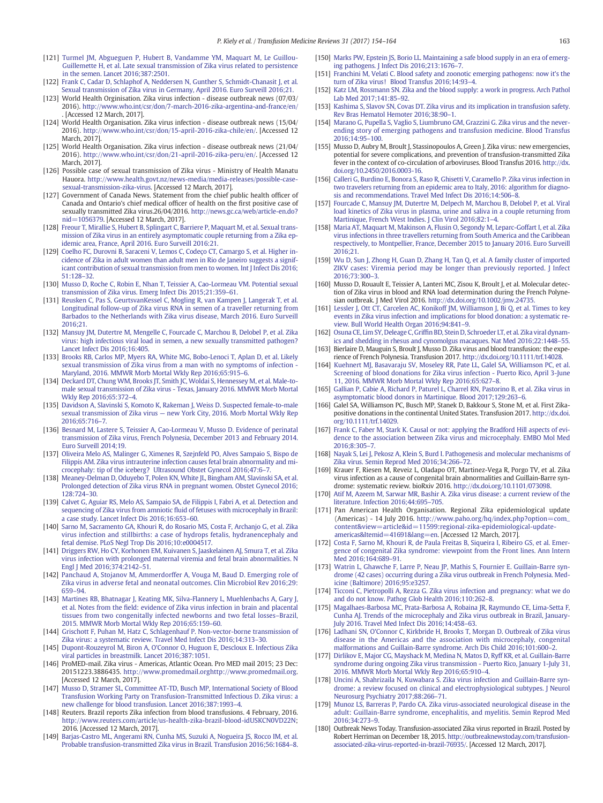- <span id="page-9-0"></span>[121] [Turmel JM, Abgueguen P, Hubert B, Vandamme YM, Maquart M, Le Guillou-](http://refhub.elsevier.com/S0887-7963(17)30049-4/rf0605)[Guillemette H, et al. Late sexual transmission of Zika virus related to persistence](http://refhub.elsevier.com/S0887-7963(17)30049-4/rf0605) [in the semen. Lancet 2016;387:2501.](http://refhub.elsevier.com/S0887-7963(17)30049-4/rf0605)
- [122] [Frank C, Cadar D, Schlaphof A, Neddersen N, Gunther S, Schmidt-Chanasit J, et al.](http://refhub.elsevier.com/S0887-7963(17)30049-4/rf0610) [Sexual transmission of Zika virus in Germany, April 2016. Euro Surveill 2016;21.](http://refhub.elsevier.com/S0887-7963(17)30049-4/rf0610)
- [123] World Health Orginisation. Zika virus infection disease outbreak news (07/03/ 2016). [http://www.who.int/csr/don/7-march-2016-zika-argentina-and-france/en/](http://www.who.int/csr/don/7-march-2016-zika-argentina-and-france/en) [Accessed 12 March, 2017].
- [124] World Health Organisation. Zika virus infection disease outbreak news (15/04/ 2016). [http://www.who.int/csr/don/15-april-2016-zika-chile/en/](http://www.who.int/csr/don/15-april-2016-zika-chile/en). [Accessed 12 March, 2017].
- [125] World Health Organisation. Zika virus infection disease outbreak news (21/04/ 2016). [http://www.who.int/csr/don/21-april-2016-zika-peru/en/](http://www.who.int/csr/don/21-april-2016-zika-peru/en). [Accessed 12 March, 2017].
- [126] Possible case of sexual transmission of Zika virus Ministry of Health Manatu Hauora. [http://www.health.govt.nz/news-media/media-releases/possible-case](http://www.health.govt.nz/news-media/media-releases/possible-case-sexual-transmission-zika-virus)[sexual-transmission-zika-virus](http://www.health.govt.nz/news-media/media-releases/possible-case-sexual-transmission-zika-virus). [Accessed 12 March, 2017].
- [127] Government of Canada News. Statement from the chief public health officer of Canada and Ontario's chief medical officer of health on the first positive case of sexually transmitted Zika virus.26/04/2016. [http://news.gc.ca/web/article-en.do?](http://news.gc.ca/web/article-en.do?nid=1056379) [nid=1056379.](http://news.gc.ca/web/article-en.do?nid=1056379) [Accessed 12 March, 2017].
- [128] [Freour T, Mirallie S, Hubert B, Splingart C, Barriere P, Maquart M, et al. Sexual trans](http://refhub.elsevier.com/S0887-7963(17)30049-4/rf0640)[mission of Zika virus in an entirely asymptomatic couple returning from a Zika ep](http://refhub.elsevier.com/S0887-7963(17)30049-4/rf0640)[idemic area, France, April 2016. Euro Surveill 2016:21.](http://refhub.elsevier.com/S0887-7963(17)30049-4/rf0640)
- [129] [Coelho FC, Durovni B, Saraceni V, Lemos C, Codeço CT, Camargo S, et al. Higher in](http://refhub.elsevier.com/S0887-7963(17)30049-4/rf0645)[cidence of Zika in adult women than adult men in Rio de Janeiro suggests a signif](http://refhub.elsevier.com/S0887-7963(17)30049-4/rf0645)[icant contribution of sexual transmission from men to women. Int J Infect Dis 2016;](http://refhub.elsevier.com/S0887-7963(17)30049-4/rf0645) [51:128](http://refhub.elsevier.com/S0887-7963(17)30049-4/rf0645)–32.
- [130] [Musso D, Roche C, Robin E, Nhan T, Teissier A, Cao-Lormeau VM. Potential sexual](http://refhub.elsevier.com/S0887-7963(17)30049-4/rf0650) [transmission of Zika virus. Emerg Infect Dis 2015;21:359](http://refhub.elsevier.com/S0887-7963(17)30049-4/rf0650)–61.
- [131] [Reusken C, Pas S, GeurtsvanKessel C, Mogling R, van Kampen J, Langerak T, et al.](http://refhub.elsevier.com/S0887-7963(17)30049-4/rf0655) [Longitudinal follow-up of Zika virus RNA in semen of a traveller returning from](http://refhub.elsevier.com/S0887-7963(17)30049-4/rf0655) [Barbados to the Netherlands with Zika virus disease, March 2016. Euro Surveill](http://refhub.elsevier.com/S0887-7963(17)30049-4/rf0655) [2016;21.](http://refhub.elsevier.com/S0887-7963(17)30049-4/rf0655)
- [132] [Mansuy JM, Dutertre M, Mengelle C, Fourcade C, Marchou B, Delobel P, et al. Zika](http://refhub.elsevier.com/S0887-7963(17)30049-4/rf0660) [virus: high infectious viral load in semen, a new sexually transmitted pathogen?](http://refhub.elsevier.com/S0887-7963(17)30049-4/rf0660) [Lancet Infect Dis 2016;16:405.](http://refhub.elsevier.com/S0887-7963(17)30049-4/rf0660)
- [133] [Brooks RB, Carlos MP, Myers RA, White MG, Bobo-Lenoci T, Aplan D, et al. Likely](http://refhub.elsevier.com/S0887-7963(17)30049-4/rf0665) [sexual transmission of Zika virus from a man with no symptoms of infection -](http://refhub.elsevier.com/S0887-7963(17)30049-4/rf0665) [Maryland, 2016. MMWR Morb Mortal Wkly Rep 2016;65:915](http://refhub.elsevier.com/S0887-7963(17)30049-4/rf0665)–6.
- [134] [Deckard DT, Chung WM, Brooks JT, Smith JC, Woldai S, Hennessey M, et al. Male-to](http://refhub.elsevier.com/S0887-7963(17)30049-4/rf0670)[male sexual transmission of Zika virus - Texas, January 2016. MMWR Morb Mortal](http://refhub.elsevier.com/S0887-7963(17)30049-4/rf0670) [Wkly Rep 2016;65:372](http://refhub.elsevier.com/S0887-7963(17)30049-4/rf0670)–4.
- [135] [Davidson A, Slavinski S, Komoto K, Rakeman J, Weiss D. Suspected female-to-male](http://refhub.elsevier.com/S0887-7963(17)30049-4/rf0675) sexual transmission of Zika virus — [new York City, 2016. Morb Mortal Wkly Rep](http://refhub.elsevier.com/S0887-7963(17)30049-4/rf0675) [2016;65:716](http://refhub.elsevier.com/S0887-7963(17)30049-4/rf0675)–7.
- [136] [Besnard M, Lastere S, Teissier A, Cao-Lormeau V, Musso D. Evidence of perinatal](http://refhub.elsevier.com/S0887-7963(17)30049-4/rf0680) [transmission of Zika virus, French Polynesia, December 2013 and February 2014.](http://refhub.elsevier.com/S0887-7963(17)30049-4/rf0680) [Euro Surveill 2014;19.](http://refhub.elsevier.com/S0887-7963(17)30049-4/rf0680)
- [137] [Oliveira Melo AS, Malinger G, Ximenes R, Szejnfeld PO, Alves Sampaio S, Bispo de](http://refhub.elsevier.com/S0887-7963(17)30049-4/rf0685) [Filippis AM. Zika virus intrauterine infection causes fetal brain abnormality and mi](http://refhub.elsevier.com/S0887-7963(17)30049-4/rf0685)[crocephaly: tip of the iceberg? Ultrasound Obstet Gynecol 2016;47:6](http://refhub.elsevier.com/S0887-7963(17)30049-4/rf0685)–7.
- [138] [Meaney-Delman D, Oduyebo T, Polen KN, White JL, Bingham AM, Slavinski SA, et al.](http://refhub.elsevier.com/S0887-7963(17)30049-4/rf0690) [Prolonged detection of Zika virus RNA in pregnant women. Obstet Gynecol 2016;](http://refhub.elsevier.com/S0887-7963(17)30049-4/rf0690)  $128.724 - 30.$
- [139] [Calvet G, Aguiar RS, Melo AS, Sampaio SA, de Filippis I, Fabri A, et al. Detection and](http://refhub.elsevier.com/S0887-7963(17)30049-4/rf0695) sequencing of Zika virus from amniotic fl[uid of fetuses with microcephaly in Brazil:](http://refhub.elsevier.com/S0887-7963(17)30049-4/rf0695) [a case study. Lancet Infect Dis 2016;16:653](http://refhub.elsevier.com/S0887-7963(17)30049-4/rf0695)–60.
- [140] [Sarno M, Sacramento GA, Khouri R, do Rosario MS, Costa F, Archanjo G, et al. Zika](http://refhub.elsevier.com/S0887-7963(17)30049-4/rf0700) [virus infection and stillbirths: a case of hydrops fetalis, hydranencephaly and](http://refhub.elsevier.com/S0887-7963(17)30049-4/rf0700) [fetal demise. PLoS Negl Trop Dis 2016;10:e0004517.](http://refhub.elsevier.com/S0887-7963(17)30049-4/rf0700)
- [141] [Driggers RW, Ho CY, Korhonen EM, Kuivanen S, Jaaskelainen AJ, Smura T, et al. Zika](http://refhub.elsevier.com/S0887-7963(17)30049-4/rf0705) [virus infection with prolonged maternal viremia and fetal brain abnormalities. N](http://refhub.elsevier.com/S0887-7963(17)30049-4/rf0705) [Engl J Med 2016;374:2142](http://refhub.elsevier.com/S0887-7963(17)30049-4/rf0705)–51.
- [142] [Panchaud A, Stojanov M, Ammerdorffer A, Vouga M, Baud D. Emerging role of](http://refhub.elsevier.com/S0887-7963(17)30049-4/rf0710) [Zika virus in adverse fetal and neonatal outcomes. Clin Microbiol Rev 2016;29:](http://refhub.elsevier.com/S0887-7963(17)30049-4/rf0710) [659](http://refhub.elsevier.com/S0887-7963(17)30049-4/rf0710)–94.
- [143] [Martines RB, Bhatnagar J, Keating MK, Silva-Flannery L, Muehlenbachs A, Gary J,](http://refhub.elsevier.com/S0887-7963(17)30049-4/rf0715) et al. Notes from the fi[eld: evidence of Zika virus infection in brain and placental](http://refhub.elsevier.com/S0887-7963(17)30049-4/rf0715) [tissues from two congenitally infected newborns and two fetal losses](http://refhub.elsevier.com/S0887-7963(17)30049-4/rf0715)–Brazil, [2015. MMWR Morb Mortal Wkly Rep 2016;65:159](http://refhub.elsevier.com/S0887-7963(17)30049-4/rf0715)–60.
- [144] [Grischott F, Puhan M, Hatz C, Schlagenhauf P. Non-vector-borne transmission of](http://refhub.elsevier.com/S0887-7963(17)30049-4/rf0720) [Zika virus: a systematic review. Travel Med Infect Dis 2016;14:313](http://refhub.elsevier.com/S0887-7963(17)30049-4/rf0720)–30.
- [145] [Dupont-Rouzeyrol M, Biron A, O'Connor O, Huguon E, Descloux E. Infectious Zika](http://refhub.elsevier.com/S0887-7963(17)30049-4/rf0725) [viral particles in breastmilk. Lancet 2016;387:1051.](http://refhub.elsevier.com/S0887-7963(17)30049-4/rf0725)
- [146] ProMED-mail. Zika virus Americas, Atlantic Ocean. Pro MED mail 2015; 23 Dec: 20151223.3886435. [http://www.promedmail.orghttp://www.promedmail.org](http://www.promedmail.org). [Accessed 12 March, 2017].
- [147] [Musso D, Stramer SL, Committee AT-TD, Busch MP, International Society of Blood](http://refhub.elsevier.com/S0887-7963(17)30049-4/rf0735) [Transfusion Working Party on Transfusion-Transmitted Infectious D. Zika virus: a](http://refhub.elsevier.com/S0887-7963(17)30049-4/rf0735) [new challenge for blood transfusion. Lancet 2016;387:1993](http://refhub.elsevier.com/S0887-7963(17)30049-4/rf0735)–4.
- [148] Reuters. Brazil reports Zika infection from blood transfusions. 4 February, 2016. <http://www.reuters.com/article/us-health-zika-brazil-blood-idUSKCN0VD22N>; 2016. [Accessed 12 March, 2017].
- [149] [Barjas-Castro ML, Angerami RN, Cunha MS, Suzuki A, Nogueira JS, Rocco IM, et al.](http://refhub.elsevier.com/S0887-7963(17)30049-4/rf0745) [Probable transfusion-transmitted Zika virus in Brazil. Transfusion 2016;56:1684](http://refhub.elsevier.com/S0887-7963(17)30049-4/rf0745)–8.
- [150] [Marks PW, Epstein JS, Borio LL. Maintaining a safe blood supply in an era of emerg](http://refhub.elsevier.com/S0887-7963(17)30049-4/rf0750)[ing pathogens. J Infect Dis 2016;213:1676](http://refhub.elsevier.com/S0887-7963(17)30049-4/rf0750)–7.
- [151] [Franchini M, Velati C. Blood safety and zoonotic emerging pathogens: now it's the](http://refhub.elsevier.com/S0887-7963(17)30049-4/rf0755) [turn of Zika virus! Blood Transfus 2016;14:93](http://refhub.elsevier.com/S0887-7963(17)30049-4/rf0755)–4.
- [152] [Katz LM, Rossmann SN. Zika and the blood supply: a work in progress. Arch Pathol](http://refhub.elsevier.com/S0887-7963(17)30049-4/rf0760) [Lab Med 2017;141:85](http://refhub.elsevier.com/S0887-7963(17)30049-4/rf0760)–92.
- [153] [Kashima S, Slavov SN, Covas DT. Zika virus and its implication in transfusion safety.](http://refhub.elsevier.com/S0887-7963(17)30049-4/rf0765) [Rev Bras Hematol Hemoter 2016;38:90](http://refhub.elsevier.com/S0887-7963(17)30049-4/rf0765)–1.
- [154] [Marano G, Pupella S, Vaglio S, Liumbruno GM, Grazzini G. Zika virus and the never](http://refhub.elsevier.com/S0887-7963(17)30049-4/rf0770)[ending story of emerging pathogens and transfusion medicine. Blood Transfus](http://refhub.elsevier.com/S0887-7963(17)30049-4/rf0770) [2016;14:95](http://refhub.elsevier.com/S0887-7963(17)30049-4/rf0770)–100.
- [155] Musso D, Aubry M, Broult J, Stassinopoulos A, Green J. Zika virus: new emergencies, potential for severe complications, and prevention of transfusion-transmitted Zika fever in the context of co-circulation of arboviruses. Blood Transfus 2016. [http://dx.](http://dx.doi.org/10.2450/2016.0003-16) [doi.org/10.2450/2016.0003-16.](http://dx.doi.org/10.2450/2016.0003-16)
- [156] [Calleri G, Burdino E, Bonora S, Raso R, Ghisetti V, Caramello P. Zika virus infection in](http://refhub.elsevier.com/S0887-7963(17)30049-4/rf0780) [two travelers returning from an epidemic area to Italy, 2016: algorithm for diagno](http://refhub.elsevier.com/S0887-7963(17)30049-4/rf0780)[sis and recommendations. Travel Med Infect Dis 2016;14:506](http://refhub.elsevier.com/S0887-7963(17)30049-4/rf0780)–8.
- [157] [Fourcade C, Mansuy JM, Dutertre M, Delpech M, Marchou B, Delobel P, et al. Viral](http://refhub.elsevier.com/S0887-7963(17)30049-4/rf0785) [load kinetics of Zika virus in plasma, urine and saliva in a couple returning from](http://refhub.elsevier.com/S0887-7963(17)30049-4/rf0785) [Martinique, French West Indies. J Clin Virol 2016;82:1](http://refhub.elsevier.com/S0887-7963(17)30049-4/rf0785)–4.
- [158] [Maria AT, Maquart M, Makinson A, Flusin O, Segondy M, Leparc-Goffart I, et al. Zika](http://refhub.elsevier.com/S0887-7963(17)30049-4/rf0790) [virus infections in three travellers returning from South America and the Caribbean](http://refhub.elsevier.com/S0887-7963(17)30049-4/rf0790) [respectively, to Montpellier, France, December 2015 to January 2016. Euro Surveill](http://refhub.elsevier.com/S0887-7963(17)30049-4/rf0790) [2016;21.](http://refhub.elsevier.com/S0887-7963(17)30049-4/rf0790)
- [159] [Wu D, Sun J, Zhong H, Guan D, Zhang H, Tan Q, et al. A family cluster of imported](http://refhub.elsevier.com/S0887-7963(17)30049-4/rf0795) [ZIKV cases: Viremia period may be longer than previously reported. J Infect](http://refhub.elsevier.com/S0887-7963(17)30049-4/rf0795) [2016;73:300](http://refhub.elsevier.com/S0887-7963(17)30049-4/rf0795)–3.
- [160] Musso D, Rouault E, Teissier A, Lanteri MC, Zisou K, Broult J, et al. Molecular detection of Zika virus in blood and RNA load determination during the French Polynesian outbreak. J Med Virol 2016. [http://dx.doi.org/10.1002/jmv.24735.](http://dx.doi.org/10.1002/jmv.24735)
- [161] [Lessler J, Ott CT, Carcelen AC, Konikoff JM, Williamson J, Bi Q, et al. Times to key](http://refhub.elsevier.com/S0887-7963(17)30049-4/rf0805) [events in Zika virus infection and implications for blood donation: a systematic re](http://refhub.elsevier.com/S0887-7963(17)30049-4/rf0805)[view. Bull World Health Organ 2016;94:841](http://refhub.elsevier.com/S0887-7963(17)30049-4/rf0805)–9.
- [162] Osuna CE, Lim SY, Deleage C, Griffi[n BD, Stein D, Schroeder LT, et al. Zika viral dynam](http://refhub.elsevier.com/S0887-7963(17)30049-4/rf0810)[ics and shedding in rhesus and cynomolgus macaques. Nat Med 2016;22:1448](http://refhub.elsevier.com/S0887-7963(17)30049-4/rf0810)–55.
- [163] Bierlaire D, Mauguin S, Broult J, Musso D, Zika virus and blood transfusion: the experience of French Polynesia. Transfusion 2017. [http://dx.doi.org/10.1111/trf.14028.](http://dx.doi.org/10.1111/trf.14028)
- [164] [Kuehnert MJ, Basavaraju SV, Moseley RR, Pate LL, Galel SA, Williamson PC, et al.](http://refhub.elsevier.com/S0887-7963(17)30049-4/rf0820) [Screening of blood donations for Zika virus infection - Puerto Rico, April 3-June](http://refhub.elsevier.com/S0887-7963(17)30049-4/rf0820) [11, 2016. MMWR Morb Mortal Wkly Rep 2016;65:627](http://refhub.elsevier.com/S0887-7963(17)30049-4/rf0820)–8.
- [165] [Gallian P, Cabie A, Richard P, Paturel L, Charrel RN, Pastorino B, et al. Zika virus in](http://refhub.elsevier.com/S0887-7963(17)30049-4/rf0825) [asymptomatic blood donors in Martinique. Blood 2017;129:263](http://refhub.elsevier.com/S0887-7963(17)30049-4/rf0825)–6.
- [166] Galel SA, Williamson PC, Busch MP, Stanek D, Bakkour S, Stone M, et al. First Zikapositive donations in the continental United States. Transfusion 2017. [http://dx.doi.](http://dx.doi.org/10.1111/trf.14029) [org/10.1111/trf.14029.](http://dx.doi.org/10.1111/trf.14029)
- [167] [Frank C, Faber M, Stark K. Causal or not: applying the Bradford Hill aspects of evi](http://refhub.elsevier.com/S0887-7963(17)30049-4/rf0835)[dence to the association between Zika virus and microcephaly. EMBO Mol Med](http://refhub.elsevier.com/S0887-7963(17)30049-4/rf0835) [2016;8:305](http://refhub.elsevier.com/S0887-7963(17)30049-4/rf0835)–7.
- [168] [Nayak S, Lei J, Pekosz A, Klein S, Burd I. Pathogenesis and molecular mechanisms of](http://refhub.elsevier.com/S0887-7963(17)30049-4/rf0840) [Zika virus. Semin Reprod Med 2016;34:266](http://refhub.elsevier.com/S0887-7963(17)30049-4/rf0840)–72.
- [169] Krauer F, Riesen M, Reveiz L, Oladapo OT, Martinez-Vega R, Porgo TV, et al. Zika virus infection as a cause of congenital brain abnormalities and Guillain-Barre syndrome: systematic review. bioRxiv 2016. [http://dx.doi.org/10.1101/073098.](http://dx.doi.org/10.1101/073098)
- [170] [Atif M, Azeem M, Sarwar MR, Bashir A. Zika virus disease: a current review of the](http://refhub.elsevier.com/S0887-7963(17)30049-4/rf0850) [literature. Infection 2016;44:695](http://refhub.elsevier.com/S0887-7963(17)30049-4/rf0850)–705.
- [171] Pan American Health Organisation. Regional Zika epidemiological update (Americas) - 14 July 2016. [http://www.paho.org/hq/index.php?option=com\\_](http://www.paho.org/hq/index.php?option=com_content&view=article&id=11599:regional-zika-epidemiological-update-americas&Itemid=41691&lang=en) [content&view=article&id=11599:regional-zika-epidemiological-update](http://www.paho.org/hq/index.php?option=com_content&view=article&id=11599:regional-zika-epidemiological-update-americas&Itemid=41691&lang=en)[americas&Itemid=41691&lang=en.](http://www.paho.org/hq/index.php?option=com_content&view=article&id=11599:regional-zika-epidemiological-update-americas&Itemid=41691&lang=en) [Accessed 12 March, 2017].
- [172] [Costa F, Sarno M, Khouri R, de Paula Freitas B, Siqueira I, Ribeiro GS, et al. Emer](http://refhub.elsevier.com/S0887-7963(17)30049-4/rf0860)[gence of congenital Zika syndrome: viewpoint from the Front lines. Ann Intern](http://refhub.elsevier.com/S0887-7963(17)30049-4/rf0860) [Med 2016;164:689](http://refhub.elsevier.com/S0887-7963(17)30049-4/rf0860)–91.
- [173] [Watrin L, Ghawche F, Larre P, Neau JP, Mathis S, Fournier E. Guillain-Barre syn](http://refhub.elsevier.com/S0887-7963(17)30049-4/rf0865)[drome \(42 cases\) occurring during a Zika virus outbreak in French Polynesia. Med](http://refhub.elsevier.com/S0887-7963(17)30049-4/rf0865)[icine \(Baltimore\) 2016;95:e3257.](http://refhub.elsevier.com/S0887-7963(17)30049-4/rf0865)
- [174] [Ticconi C, Pietropolli A, Rezza G. Zika virus infection and pregnancy: what we do](http://refhub.elsevier.com/S0887-7963(17)30049-4/rf0870) [and do not know. Pathog Glob Health 2016;110:262](http://refhub.elsevier.com/S0887-7963(17)30049-4/rf0870)–8.
- [175] [Magalhaes-Barbosa MC, Prata-Barbosa A, Robaina JR, Raymundo CE, Lima-Setta F,](http://refhub.elsevier.com/S0887-7963(17)30049-4/rf0875) [Cunha AJ. Trends of the microcephaly and Zika virus outbreak in Brazil, January-](http://refhub.elsevier.com/S0887-7963(17)30049-4/rf0875)[July 2016. Travel Med Infect Dis 2016;14:458](http://refhub.elsevier.com/S0887-7963(17)30049-4/rf0875)–63.
- [176] [Ladhani SN, O'Connor C, Kirkbride H, Brooks T, Morgan D. Outbreak of Zika virus](http://refhub.elsevier.com/S0887-7963(17)30049-4/rf0880) [disease in the Americas and the association with microcephaly, congenital](http://refhub.elsevier.com/S0887-7963(17)30049-4/rf0880) [malformations and Guillain-Barre syndrome. Arch Dis Child 2016;101:600](http://refhub.elsevier.com/S0887-7963(17)30049-4/rf0880)–2.
- [177] [Dirlikov E, Major CG, Mayshack M, Medina N, Matos D, Ryff KR, et al. Guillain-Barre](http://refhub.elsevier.com/S0887-7963(17)30049-4/rf0885) [syndrome during ongoing Zika virus transmission - Puerto Rico, January 1-July 31,](http://refhub.elsevier.com/S0887-7963(17)30049-4/rf0885) [2016. MMWR Morb Mortal Wkly Rep 2016;65:910](http://refhub.elsevier.com/S0887-7963(17)30049-4/rf0885)–4.
- [178] [Uncini A, Shahrizaila N, Kuwabara S. Zika virus infection and Guillain-Barre syn](http://refhub.elsevier.com/S0887-7963(17)30049-4/rf0890)[drome: a review focused on clinical and electrophysiological subtypes. J Neurol](http://refhub.elsevier.com/S0887-7963(17)30049-4/rf0890) [Neurosurg Psychiatry 2017;88:266](http://refhub.elsevier.com/S0887-7963(17)30049-4/rf0890)–71.
- [179] [Munoz LS, Barreras P, Pardo CA. Zika virus-associated neurological disease in the](http://refhub.elsevier.com/S0887-7963(17)30049-4/rf0895) [adult: Guillain-Barre syndrome, encephalitis, and myelitis. Semin Reprod Med](http://refhub.elsevier.com/S0887-7963(17)30049-4/rf0895) [2016;34:273](http://refhub.elsevier.com/S0887-7963(17)30049-4/rf0895)–9.
- [180] Outbreak News Today. Transfusion-associated Zika virus reported in Brazil. Posted by Robert Herriman on December 18, 2015. [http://outbreaknewstoday.com/transfusion](http://outbreaknewstoday.com/transfusion-associated-zika-virus-reported-in-brazil-76935)[associated-zika-virus-reported-in-brazil-76935/](http://outbreaknewstoday.com/transfusion-associated-zika-virus-reported-in-brazil-76935). [Accessed 12 March, 2017].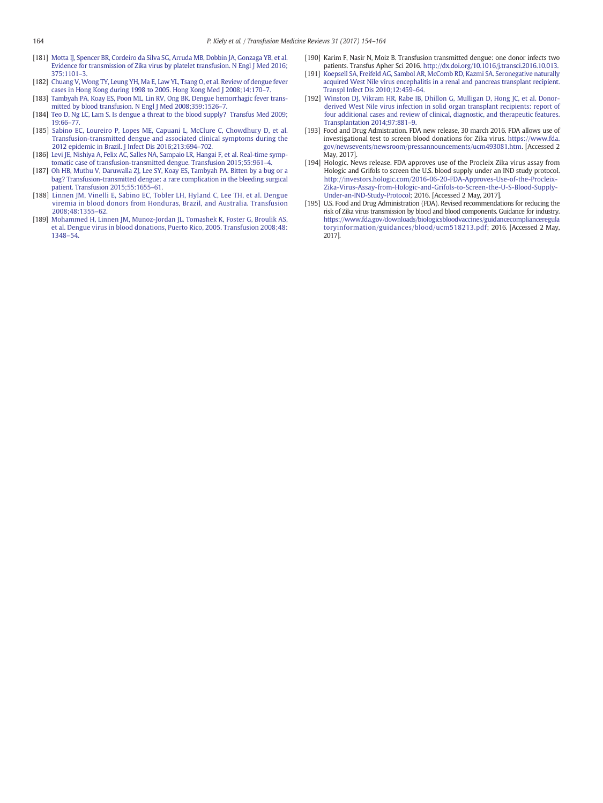- <span id="page-10-0"></span>[181] [Motta IJ, Spencer BR, Cordeiro da Silva SG, Arruda MB, Dobbin JA, Gonzaga YB, et al.](http://refhub.elsevier.com/S0887-7963(17)30049-4/rf0905) [Evidence for transmission of Zika virus by platelet transfusion. N Engl J Med 2016;](http://refhub.elsevier.com/S0887-7963(17)30049-4/rf0905) [375:1101](http://refhub.elsevier.com/S0887-7963(17)30049-4/rf0905)–3.
- [182] [Chuang V, Wong TY, Leung YH, Ma E, Law YL, Tsang O, et al. Review of dengue fever](http://refhub.elsevier.com/S0887-7963(17)30049-4/rf0910) [cases in Hong Kong during 1998 to 2005. Hong Kong Med J 2008;14:170](http://refhub.elsevier.com/S0887-7963(17)30049-4/rf0910)–7.
- [183] [Tambyah PA, Koay ES, Poon ML, Lin RV, Ong BK. Dengue hemorrhagic fever trans](http://refhub.elsevier.com/S0887-7963(17)30049-4/rf0915)[mitted by blood transfusion. N Engl J Med 2008;359:1526](http://refhub.elsevier.com/S0887-7963(17)30049-4/rf0915)–7.
- [184] [Teo D, Ng LC, Lam S. Is dengue a threat to the blood supply? Transfus Med 2009;](http://refhub.elsevier.com/S0887-7963(17)30049-4/rf0920) [19:66](http://refhub.elsevier.com/S0887-7963(17)30049-4/rf0920)–77.
- [185] [Sabino EC, Loureiro P, Lopes ME, Capuani L, McClure C, Chowdhury D, et al.](http://refhub.elsevier.com/S0887-7963(17)30049-4/rf0925) [Transfusion-transmitted dengue and associated clinical symptoms during the](http://refhub.elsevier.com/S0887-7963(17)30049-4/rf0925) [2012 epidemic in Brazil. J Infect Dis 2016;213:694](http://refhub.elsevier.com/S0887-7963(17)30049-4/rf0925)–702.
- [186] [Levi JE, Nishiya A, Felix AC, Salles NA, Sampaio LR, Hangai F, et al. Real-time symp](http://refhub.elsevier.com/S0887-7963(17)30049-4/rf0930)[tomatic case of transfusion-transmitted dengue. Transfusion 2015;55:961](http://refhub.elsevier.com/S0887-7963(17)30049-4/rf0930)–4.
- [187] [Oh HB, Muthu V, Daruwalla ZJ, Lee SY, Koay ES, Tambyah PA. Bitten by a bug or a](http://refhub.elsevier.com/S0887-7963(17)30049-4/rf0935) [bag? Transfusion-transmitted dengue: a rare complication in the bleeding surgical](http://refhub.elsevier.com/S0887-7963(17)30049-4/rf0935) [patient. Transfusion 2015;55:1655](http://refhub.elsevier.com/S0887-7963(17)30049-4/rf0935)–61.
- [188] [Linnen JM, Vinelli E, Sabino EC, Tobler LH, Hyland C, Lee TH, et al. Dengue](http://refhub.elsevier.com/S0887-7963(17)30049-4/rf0940) [viremia in blood donors from Honduras, Brazil, and Australia. Transfusion](http://refhub.elsevier.com/S0887-7963(17)30049-4/rf0940) [2008;48:1355](http://refhub.elsevier.com/S0887-7963(17)30049-4/rf0940)–62.
- [189] [Mohammed H, Linnen JM, Munoz-Jordan JL, Tomashek K, Foster G, Broulik AS,](http://refhub.elsevier.com/S0887-7963(17)30049-4/rf0945) [et al. Dengue virus in blood donations, Puerto Rico, 2005. Transfusion 2008;48:](http://refhub.elsevier.com/S0887-7963(17)30049-4/rf0945) [1348](http://refhub.elsevier.com/S0887-7963(17)30049-4/rf0945)–54.
- [190] Karim F, Nasir N, Moiz B. Transfusion transmitted dengue: one donor infects two patients. Transfus Apher Sci 2016. [http://dx.doi.org/10.1016/j.transci.2016.10.013.](http://dx.doi.org/10.1016/j.transci.2016.10.013)
- [191] [Koepsell SA, Freifeld AG, Sambol AR, McComb RD, Kazmi SA. Seronegative naturally](http://refhub.elsevier.com/S0887-7963(17)30049-4/rf0955) [acquired West Nile virus encephalitis in a renal and pancreas transplant recipient.](http://refhub.elsevier.com/S0887-7963(17)30049-4/rf0955) [Transpl Infect Dis 2010;12:459](http://refhub.elsevier.com/S0887-7963(17)30049-4/rf0955)–64.
- [192] [Winston DJ, Vikram HR, Rabe IB, Dhillon G, Mulligan D, Hong JC, et al. Donor](http://refhub.elsevier.com/S0887-7963(17)30049-4/rf0960)[derived West Nile virus infection in solid organ transplant recipients: report of](http://refhub.elsevier.com/S0887-7963(17)30049-4/rf0960) [four additional cases and review of clinical, diagnostic, and therapeutic features.](http://refhub.elsevier.com/S0887-7963(17)30049-4/rf0960) [Transplantation 2014;97:881](http://refhub.elsevier.com/S0887-7963(17)30049-4/rf0960)–9.
- [193] Food and Drug Admistration. FDA new release, 30 march 2016. FDA allows use of investigational test to screen blood donations for Zika virus. [https://www.fda.](https://www.fda.gov/newsevents/newsroom/pressannouncements/ucm493081.htm) [gov/newsevents/newsroom/pressannouncements/ucm493081.htm.](https://www.fda.gov/newsevents/newsroom/pressannouncements/ucm493081.htm) [Accessed 2 May, 2017].
- [194] Hologic. News release. FDA approves use of the Procleix Zika virus assay from Hologic and Grifols to screen the U.S. blood supply under an IND study protocol. [http://investors.hologic.com/2016-06-20-FDA-Approves-Use-of-the-Procleix-](http://investors.hologic.com/2016-06-20-FDA-Approves-Use-of-the-Procleix-Zika-Virus-Assay-from-Hologic-and-Grifols-to-Screen-the-U-S-Blood-Supply-Under-an-IND-Study-Protocol)[Zika-Virus-Assay-from-Hologic-and-Grifols-to-Screen-the-U-S-Blood-Supply-](http://investors.hologic.com/2016-06-20-FDA-Approves-Use-of-the-Procleix-Zika-Virus-Assay-from-Hologic-and-Grifols-to-Screen-the-U-S-Blood-Supply-Under-an-IND-Study-Protocol)[Under-an-IND-Study-Protocol](http://investors.hologic.com/2016-06-20-FDA-Approves-Use-of-the-Procleix-Zika-Virus-Assay-from-Hologic-and-Grifols-to-Screen-the-U-S-Blood-Supply-Under-an-IND-Study-Protocol); 2016. [Accessed 2 May, 2017].
- [195] U.S. Food and Drug Administration (FDA). Revised recommendations for reducing the risk of Zika virus transmission by blood and blood components. Guidance for industry. [https://www.fda.gov/downloads/biologicsbloodvaccines/guidancecomplianceregula](https://www.fda.gov/downloads/biologicsbloodvaccines/guidancecomplianceregulatoryinformation/guidances/blood/ucm518213.pdf) [toryinformation/guidances/blood/ucm518213.pdf;](https://www.fda.gov/downloads/biologicsbloodvaccines/guidancecomplianceregulatoryinformation/guidances/blood/ucm518213.pdf) 2016. [Accessed 2 May, 2017].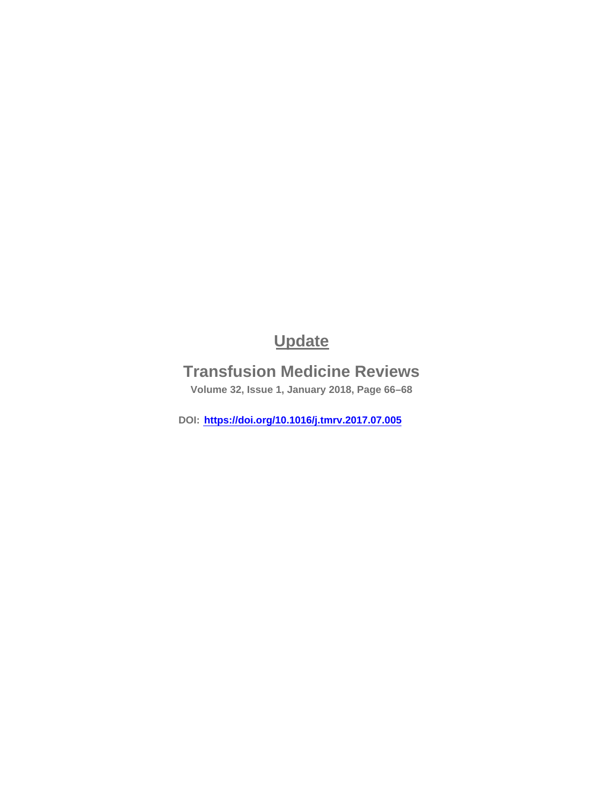# **Update**

# <span id="page-11-0"></span>**Transfusion Medicine Reviews**

**Volume 32, Issue 1, January 2018, Page 66–68**

**DOI: https://doi.org/10.1016/j.tmrv.2017.07.005**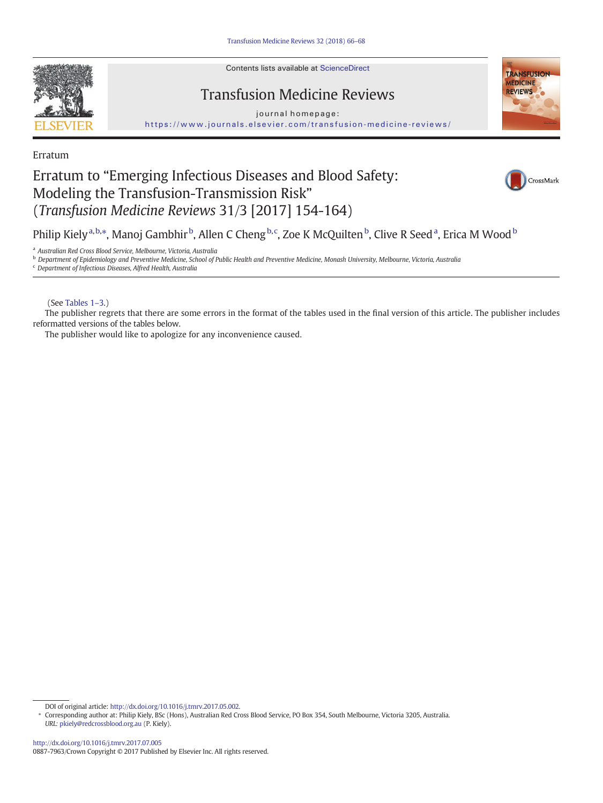

Contents lists available at [ScienceDirect](http://www.sciencedirect.com/science/journal/)

### Transfusion Medicine Reviews

journal homepage:



https://www.journals.elsevier.com/transfusion-medicine-reviews/

Erratum

# Erratum to "Emerging Infectious Diseases and Blood Safety: Modeling the Transfusion-Transmission Risk" (Transfusion Medicine Reviews 31/3 [2017] 154-164)



Philip Kiely<sup>a,b,\*</sup>, Manoj Gambhir<sup>b</sup>, Allen C Cheng<sup>b,c</sup>, Zoe K McQuilten<sup>b</sup>, Clive R Seed<sup>a</sup>, Erica M Wood<sup>b</sup>

<sup>a</sup> Australian Red Cross Blood Service, Melbourne, Victoria, Australia

<sup>b</sup> Department of Epidemiology and Preventive Medicine, School of Public Health and Preventive Medicine, Monash University, Melbourne, Victoria, Australia

<sup>c</sup> Department of Infectious Diseases, Alfred Health, Australia

#### (See [Tables 1](#page-3-0)–3.)

The publisher regrets that there are some errors in the format of the tables used in the final version of this article. The publisher includes reformatted versions of the tables below.

The publisher would like to apologize for any inconvenience caused.

DOI of original article: http://dx.doi.org[/10.1016/j.tmrv.2017.05.002](http://dx.doi.org/10.1016/j.tmrv.2017.05.002).

⁎ Corresponding author at: Philip Kiely, BSc (Hons), Australian Red Cross Blood Service, PO Box 354, South Melbourne, Victoria 3205, Australia. URL: <pkiely@redcrossblood.org.au> (P. Kiely).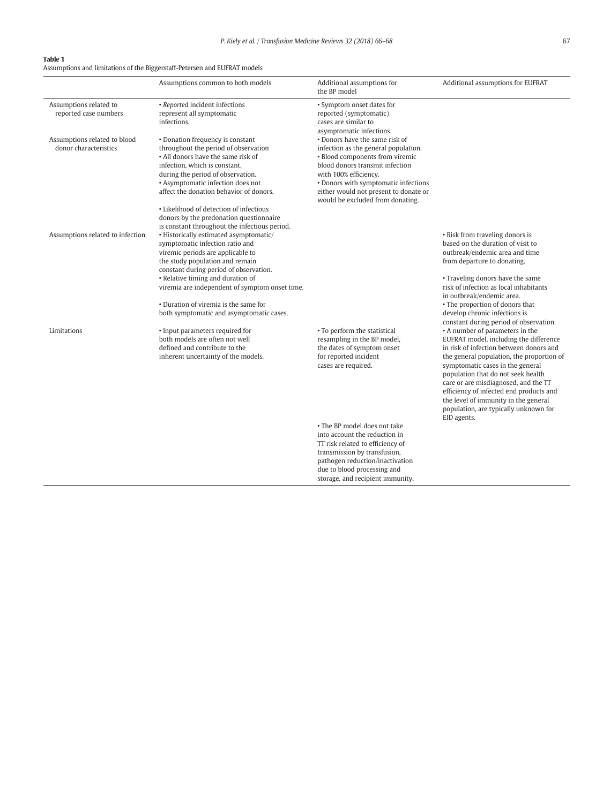#### Table 1

Assumptions and limitations of the Biggerstaff-Petersen and EUFRAT models

|                                                       | Assumptions common to both models                                                                                                                                                                                                                                                                                                                                                                                        | Additional assumptions for<br>the BP model                                                                                                                                                                                                                                                 | Additional assumptions for EUFRAT                                                                                                                                                                                                                                                                                                                                                                                                                                        |
|-------------------------------------------------------|--------------------------------------------------------------------------------------------------------------------------------------------------------------------------------------------------------------------------------------------------------------------------------------------------------------------------------------------------------------------------------------------------------------------------|--------------------------------------------------------------------------------------------------------------------------------------------------------------------------------------------------------------------------------------------------------------------------------------------|--------------------------------------------------------------------------------------------------------------------------------------------------------------------------------------------------------------------------------------------------------------------------------------------------------------------------------------------------------------------------------------------------------------------------------------------------------------------------|
| Assumptions related to<br>reported case numbers       | • Reported incident infections<br>represent all symptomatic<br>infections.                                                                                                                                                                                                                                                                                                                                               | • Symptom onset dates for<br>reported (symptomatic)<br>cases are similar to<br>asymptomatic infections.                                                                                                                                                                                    |                                                                                                                                                                                                                                                                                                                                                                                                                                                                          |
| Assumptions related to blood<br>donor characteristics | • Donation frequency is constant<br>throughout the period of observation<br>• All donors have the same risk of<br>infection, which is constant,<br>during the period of observation.<br>• Asymptomatic infection does not<br>affect the donation behavior of donors.<br>• Likelihood of detection of infectious<br>donors by the predonation questionnaire                                                               | • Donors have the same risk of<br>infection as the general population.<br>• Blood components from viremic<br>blood donors transmit infection<br>with 100% efficiency.<br>• Donors with symptomatic infections<br>either would not present to donate or<br>would be excluded from donating. |                                                                                                                                                                                                                                                                                                                                                                                                                                                                          |
| Assumptions related to infection                      | is constant throughout the infectious period.<br>• Historically estimated asymptomatic/<br>symptomatic infection ratio and<br>viremic periods are applicable to<br>the study population and remain<br>constant during period of observation.<br>• Relative timing and duration of<br>viremia are independent of symptom onset time.<br>• Duration of viremia is the same for<br>both symptomatic and asymptomatic cases. |                                                                                                                                                                                                                                                                                            | • Risk from traveling donors is<br>based on the duration of visit to<br>outbreak/endemic area and time<br>from departure to donating.<br>• Traveling donors have the same<br>risk of infection as local inhabitants<br>in outbreak/endemic area.<br>• The proportion of donors that<br>develop chronic infections is                                                                                                                                                     |
| Limitations                                           | • Input parameters required for<br>both models are often not well<br>defined and contribute to the<br>inherent uncertainty of the models.                                                                                                                                                                                                                                                                                | • To perform the statistical<br>resampling in the BP model,<br>the dates of symptom onset<br>for reported incident<br>cases are required.                                                                                                                                                  | constant during period of observation.<br>• A number of parameters in the<br>EUFRAT model, including the difference<br>in risk of infection between donors and<br>the general population, the proportion of<br>symptomatic cases in the general<br>population that do not seek health<br>care or are misdiagnosed, and the TT<br>efficiency of infected end products and<br>the level of immunity in the general<br>population, are typically unknown for<br>EID agents. |
|                                                       |                                                                                                                                                                                                                                                                                                                                                                                                                          | • The BP model does not take<br>into account the reduction in<br>TT risk related to efficiency of<br>transmission by transfusion,<br>pathogen reduction/inactivation                                                                                                                       |                                                                                                                                                                                                                                                                                                                                                                                                                                                                          |

due to blood processing and storage, and recipient immunity.